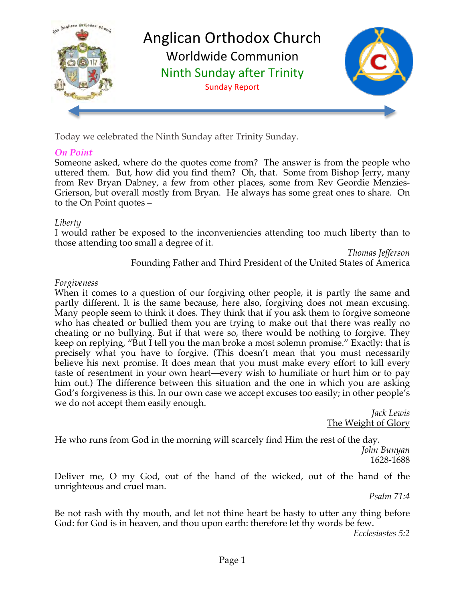

Today we celebrated the Ninth Sunday after Trinity Sunday.

#### *On Point*

Someone asked, where do the quotes come from? The answer is from the people who uttered them. But, how did you find them? Oh, that. Some from Bishop Jerry, many from Rev Bryan Dabney, a few from other places, some from Rev Geordie Menzies-Grierson, but overall mostly from Bryan. He always has some great ones to share. On to the On Point quotes –

#### *Liberty*

I would rather be exposed to the inconveniencies attending too much liberty than to those attending too small a degree of it.

*Thomas Jefferson*

Founding Father and Third President of the United States of America

#### *Forgiveness*

When it comes to a question of our forgiving other people, it is partly the same and partly different. It is the same because, here also, forgiving does not mean excusing. Many people seem to think it does. They think that if you ask them to forgive someone who has cheated or bullied them you are trying to make out that there was really no cheating or no bullying. But if that were so, there would be nothing to forgive. They keep on replying, "But I tell you the man broke a most solemn promise." Exactly: that is precisely what you have to forgive. (This doesn't mean that you must necessarily believe his next promise. It does mean that you must make every effort to kill every taste of resentment in your own heart—every wish to humiliate or hurt him or to pay him out.) The difference between this situation and the one in which you are asking God's forgiveness is this. In our own case we accept excuses too easily; in other people's we do not accept them easily enough.

*Jack Lewis* The Weight of Glory

He who runs from God in the morning will scarcely find Him the rest of the day.

*John Bunyan* 1628-1688

Deliver me, O my God, out of the hand of the wicked, out of the hand of the unrighteous and cruel man.

*Psalm 71:4*

Be not rash with thy mouth, and let not thine heart be hasty to utter any thing before God: for God is in heaven, and thou upon earth: therefore let thy words be few.

*Ecclesiastes 5:2*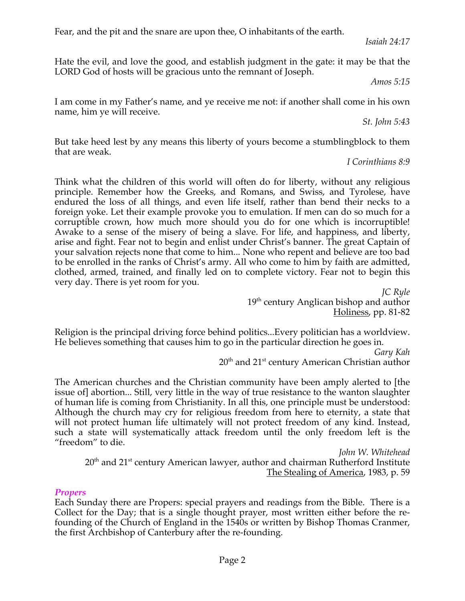Fear, and the pit and the snare are upon thee, O inhabitants of the earth.

*Isaiah 24:17*

Hate the evil, and love the good, and establish judgment in the gate: it may be that the LORD God of hosts will be gracious unto the remnant of Joseph.

*Amos 5:15*

I am come in my Father's name, and ye receive me not: if another shall come in his own name, him ye will receive.

*St. John 5:43*

But take heed lest by any means this liberty of yours become a stumblingblock to them that are weak.

*I Corinthians 8:9*

Think what the children of this world will often do for liberty, without any religious principle. Remember how the Greeks, and Romans, and Swiss, and Tyrolese, have endured the loss of all things, and even life itself, rather than bend their necks to a foreign yoke. Let their example provoke you to emulation. If men can do so much for a corruptible crown, how much more should you do for one which is incorruptible! Awake to a sense of the misery of being a slave. For life, and happiness, and liberty, arise and fight. Fear not to begin and enlist under Christ's banner. The great Captain of your salvation rejects none that come to him... None who repent and believe are too bad to be enrolled in the ranks of Christ's army. All who come to him by faith are admitted, clothed, armed, trained, and finally led on to complete victory. Fear not to begin this very day. There is yet room for you.

*JC Ryle* 19<sup>th</sup> century Anglican bishop and author Holiness, pp. 81-82

Religion is the principal driving force behind politics...Every politician has a worldview. He believes something that causes him to go in the particular direction he goes in.

*Gary Kah* 20<sup>th</sup> and 21<sup>st</sup> century American Christian author

The American churches and the Christian community have been amply alerted to [the issue of] abortion... Still, very little in the way of true resistance to the wanton slaughter of human life is coming from Christianity. In all this, one principle must be understood: Although the church may cry for religious freedom from here to eternity, a state that will not protect human life ultimately will not protect freedom of any kind. Instead, such a state will systematically attack freedom until the only freedom left is the "freedom" to die.

*John W. Whitehead*

20<sup>th</sup> and 21<sup>st</sup> century American lawyer, author and chairman Rutherford Institute The Stealing of America, 1983, p. 59

# *Propers*

Each Sunday there are Propers: special prayers and readings from the Bible. There is a Collect for the Day; that is a single thought prayer, most written either before the refounding of the Church of England in the 1540s or written by Bishop Thomas Cranmer, the first Archbishop of Canterbury after the re-founding.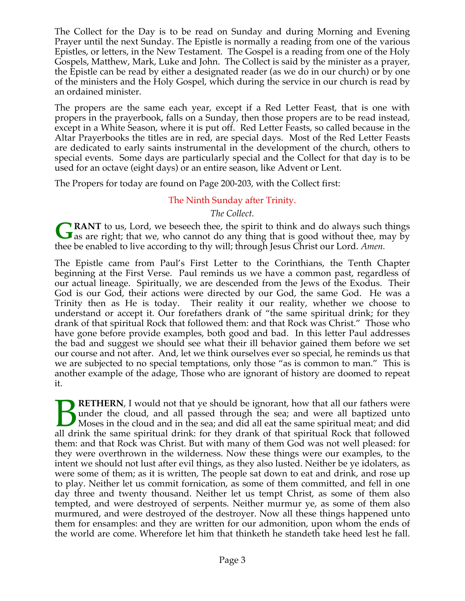The Collect for the Day is to be read on Sunday and during Morning and Evening Prayer until the next Sunday. The Epistle is normally a reading from one of the various Epistles, or letters, in the New Testament. The Gospel is a reading from one of the Holy Gospels, Matthew, Mark, Luke and John. The Collect is said by the minister as a prayer, the Epistle can be read by either a designated reader (as we do in our church) or by one of the ministers and the Holy Gospel, which during the service in our church is read by an ordained minister.

The propers are the same each year, except if a Red Letter Feast, that is one with propers in the prayerbook, falls on a Sunday, then those propers are to be read instead, except in a White Season, where it is put off. Red Letter Feasts, so called because in the Altar Prayerbooks the titles are in red, are special days. Most of the Red Letter Feasts are dedicated to early saints instrumental in the development of the church, others to special events. Some days are particularly special and the Collect for that day is to be used for an octave (eight days) or an entire season, like Advent or Lent.

The Propers for today are found on Page 200-203, with the Collect first:

# The Ninth Sunday after Trinity.

#### *The Collect.*

**RANT** to us, Lord, we beseech thee, the spirit to think and do always such things GRANT to us, Lord, we beseech thee, the spirit to think and do always such things as are right; that we, who cannot do any thing that is good without thee, may by thee be enabled to live according to thy will; through Jesus Christ our Lord. *Amen.*

The Epistle came from Paul's First Letter to the Corinthians, the Tenth Chapter beginning at the First Verse. Paul reminds us we have a common past, regardless of our actual lineage. Spiritually, we are descended from the Jews of the Exodus. Their God is our God, their actions were directed by our God, the same God. He was a Trinity then as He is today. Their reality it our reality, whether we choose to understand or accept it. Our forefathers drank of "the same spiritual drink; for they drank of that spiritual Rock that followed them: and that Rock was Christ." Those who have gone before provide examples, both good and bad. In this letter Paul addresses the bad and suggest we should see what their ill behavior gained them before we set our course and not after. And, let we think ourselves ever so special, he reminds us that we are subjected to no special temptations, only those "as is common to man." This is another example of the adage, Those who are ignorant of history are doomed to repeat it.

**RETHERN**, I would not that ye should be ignorant, how that all our fathers were under the cloud, and all passed through the sea; and were all baptized unto Moses in the cloud and in the sea; and did all eat the same spiritual meat; and did **BURETHERN**, I would not that ye should be ignorant, how that all our fathers were under the cloud, and all passed through the sea; and were all baptized unto Moses in the cloud and in the sea; and did all eat the same spi them: and that Rock was Christ. But with many of them God was not well pleased: for they were overthrown in the wilderness. Now these things were our examples, to the intent we should not lust after evil things, as they also lusted. Neither be ye idolaters, as were some of them; as it is written, The people sat down to eat and drink, and rose up to play. Neither let us commit fornication, as some of them committed, and fell in one day three and twenty thousand. Neither let us tempt Christ, as some of them also tempted, and were destroyed of serpents. Neither murmur ye, as some of them also murmured, and were destroyed of the destroyer. Now all these things happened unto them for ensamples: and they are written for our admonition, upon whom the ends of the world are come. Wherefore let him that thinketh he standeth take heed lest he fall.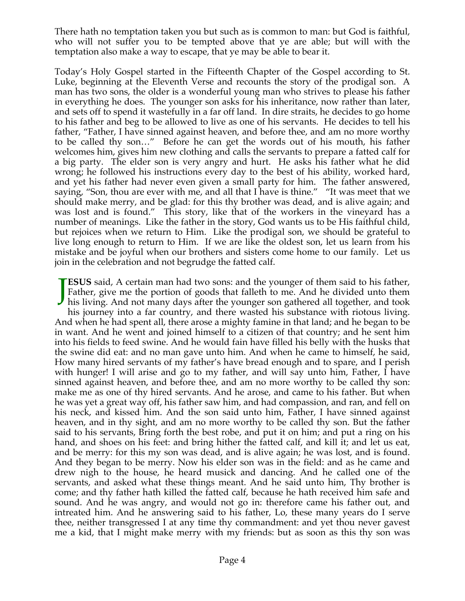There hath no temptation taken you but such as is common to man: but God is faithful, who will not suffer you to be tempted above that ye are able; but will with the temptation also make a way to escape, that ye may be able to bear it.

Today's Holy Gospel started in the Fifteenth Chapter of the Gospel according to St. Luke, beginning at the Eleventh Verse and recounts the story of the prodigal son. A man has two sons, the older is a wonderful young man who strives to please his father in everything he does. The younger son asks for his inheritance, now rather than later, and sets off to spend it wastefully in a far off land. In dire straits, he decides to go home to his father and beg to be allowed to live as one of his servants. He decides to tell his father, "Father, I have sinned against heaven, and before thee, and am no more worthy to be called thy son…" Before he can get the words out of his mouth, his father welcomes him, gives him new clothing and calls the servants to prepare a fatted calf for a big party. The elder son is very angry and hurt. He asks his father what he did wrong; he followed his instructions every day to the best of his ability, worked hard, and yet his father had never even given a small party for him. The father answered, saying, "Son, thou are ever with me, and all that I have is thine." "It was meet that we should make merry, and be glad: for this thy brother was dead, and is alive again; and was lost and is found." This story, like that of the workers in the vineyard has a number of meanings. Like the father in the story, God wants us to be His faithful child, but rejoices when we return to Him. Like the prodigal son, we should be grateful to live long enough to return to Him. If we are like the oldest son, let us learn from his mistake and be joyful when our brothers and sisters come home to our family. Let us join in the celebration and not begrudge the fatted calf.

**ESUS** said, A certain man had two sons: and the younger of them said to his father, Father, give me the portion of goods that falleth to me. And he divided unto them **TESUS** said, A certain man had two sons: and the younger of them said to his father, Father, give me the portion of goods that falleth to me. And he divided unto them his living. And not many days after the younger son ga his journey into a far country, and there wasted his substance with riotous living. And when he had spent all, there arose a mighty famine in that land; and he began to be in want. And he went and joined himself to a citizen of that country; and he sent him into his fields to feed swine. And he would fain have filled his belly with the husks that the swine did eat: and no man gave unto him. And when he came to himself, he said, How many hired servants of my father's have bread enough and to spare, and I perish with hunger! I will arise and go to my father, and will say unto him, Father, I have sinned against heaven, and before thee, and am no more worthy to be called thy son: make me as one of thy hired servants. And he arose, and came to his father. But when he was yet a great way off, his father saw him, and had compassion, and ran, and fell on his neck, and kissed him. And the son said unto him, Father, I have sinned against heaven, and in thy sight, and am no more worthy to be called thy son. But the father said to his servants, Bring forth the best robe, and put it on him; and put a ring on his hand, and shoes on his feet: and bring hither the fatted calf, and kill it; and let us eat, and be merry: for this my son was dead, and is alive again; he was lost, and is found. And they began to be merry. Now his elder son was in the field: and as he came and drew nigh to the house, he heard musick and dancing. And he called one of the servants, and asked what these things meant. And he said unto him, Thy brother is come; and thy father hath killed the fatted calf, because he hath received him safe and sound. And he was angry, and would not go in: therefore came his father out, and intreated him. And he answering said to his father, Lo, these many years do I serve thee, neither transgressed I at any time thy commandment: and yet thou never gavest me a kid, that I might make merry with my friends: but as soon as this thy son was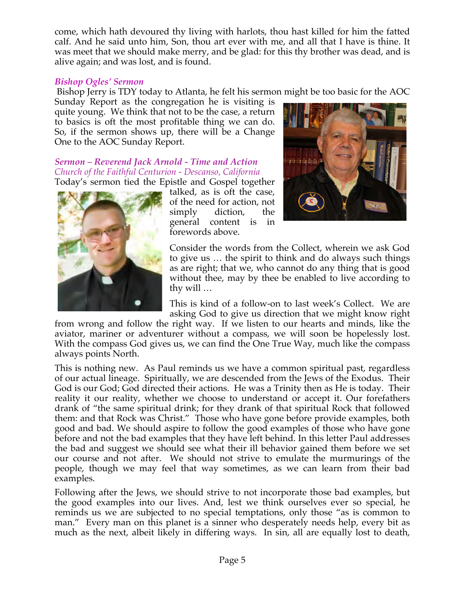come, which hath devoured thy living with harlots, thou hast killed for him the fatted calf. And he said unto him, Son, thou art ever with me, and all that I have is thine. It was meet that we should make merry, and be glad: for this thy brother was dead, and is alive again; and was lost, and is found.

### *Bishop Ogles' Sermon*

Bishop Jerry is TDY today to Atlanta, he felt his sermon might be too basic for the AOC

Sunday Report as the congregation he is visiting is quite young. We think that not to be the case, a return to basics is oft the most profitable thing we can do. So, if the sermon shows up, there will be a Change One to the AOC Sunday Report.

#### *Sermon – Reverend Jack Arnold - Time and Action Church of the Faithful Centurion - Descanso, California* Today's sermon tied the Epistle and Gospel together



talked, as is oft the case, of the need for action, not simply diction, the general content is in forewords above.



Consider the words from the Collect, wherein we ask God to give us … the spirit to think and do always such things as are right; that we, who cannot do any thing that is good without thee, may by thee be enabled to live according to thy will …

This is kind of a follow-on to last week's Collect. We are asking God to give us direction that we might know right

from wrong and follow the right way. If we listen to our hearts and minds, like the aviator, mariner or adventurer without a compass, we will soon be hopelessly lost. With the compass God gives us, we can find the One True Way, much like the compass always points North.

This is nothing new. As Paul reminds us we have a common spiritual past, regardless of our actual lineage. Spiritually, we are descended from the Jews of the Exodus. Their God is our God; God directed their actions. He was a Trinity then as He is today. Their reality it our reality, whether we choose to understand or accept it. Our forefathers drank of "the same spiritual drink; for they drank of that spiritual Rock that followed them: and that Rock was Christ." Those who have gone before provide examples, both good and bad. We should aspire to follow the good examples of those who have gone before and not the bad examples that they have left behind. In this letter Paul addresses the bad and suggest we should see what their ill behavior gained them before we set our course and not after. We should not strive to emulate the murmurings of the people, though we may feel that way sometimes, as we can learn from their bad examples.

Following after the Jews, we should strive to not incorporate those bad examples, but the good examples into our lives. And, lest we think ourselves ever so special, he reminds us we are subjected to no special temptations, only those "as is common to man." Every man on this planet is a sinner who desperately needs help, every bit as much as the next, albeit likely in differing ways. In sin, all are equally lost to death,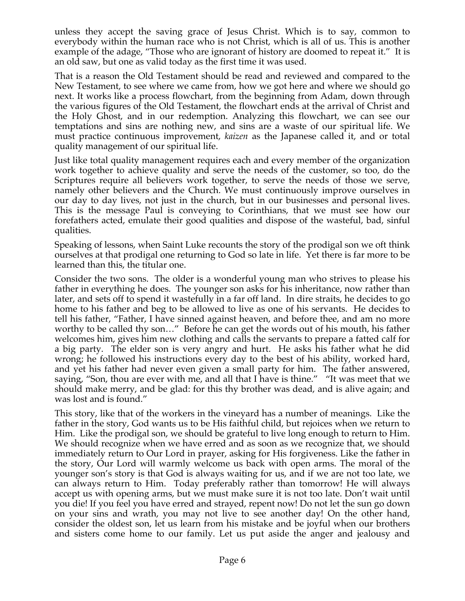unless they accept the saving grace of Jesus Christ. Which is to say, common to everybody within the human race who is not Christ, which is all of us. This is another example of the adage, "Those who are ignorant of history are doomed to repeat it." It is an old saw, but one as valid today as the first time it was used.

That is a reason the Old Testament should be read and reviewed and compared to the New Testament, to see where we came from, how we got here and where we should go next. It works like a process flowchart, from the beginning from Adam, down through the various figures of the Old Testament, the flowchart ends at the arrival of Christ and the Holy Ghost, and in our redemption. Analyzing this flowchart, we can see our temptations and sins are nothing new, and sins are a waste of our spiritual life. We must practice continuous improvement, *kaizen* as the Japanese called it, and or total quality management of our spiritual life.

Just like total quality management requires each and every member of the organization work together to achieve quality and serve the needs of the customer, so too, do the Scriptures require all believers work together, to serve the needs of those we serve, namely other believers and the Church. We must continuously improve ourselves in our day to day lives, not just in the church, but in our businesses and personal lives. This is the message Paul is conveying to Corinthians, that we must see how our forefathers acted, emulate their good qualities and dispose of the wasteful, bad, sinful qualities.

Speaking of lessons, when Saint Luke recounts the story of the prodigal son we oft think ourselves at that prodigal one returning to God so late in life. Yet there is far more to be learned than this, the titular one.

Consider the two sons. The older is a wonderful young man who strives to please his father in everything he does. The younger son asks for his inheritance, now rather than later, and sets off to spend it wastefully in a far off land. In dire straits, he decides to go home to his father and beg to be allowed to live as one of his servants. He decides to tell his father, "Father, I have sinned against heaven, and before thee, and am no more worthy to be called thy son…" Before he can get the words out of his mouth, his father welcomes him, gives him new clothing and calls the servants to prepare a fatted calf for a big party. The elder son is very angry and hurt. He asks his father what he did wrong; he followed his instructions every day to the best of his ability, worked hard, and yet his father had never even given a small party for him. The father answered, saying, "Son, thou are ever with me, and all that I have is thine." "It was meet that we should make merry, and be glad: for this thy brother was dead, and is alive again; and was lost and is found."

This story, like that of the workers in the vineyard has a number of meanings. Like the father in the story, God wants us to be His faithful child, but rejoices when we return to Him. Like the prodigal son, we should be grateful to live long enough to return to Him. We should recognize when we have erred and as soon as we recognize that, we should immediately return to Our Lord in prayer, asking for His forgiveness. Like the father in the story, Our Lord will warmly welcome us back with open arms. The moral of the younger son's story is that God is always waiting for us, and if we are not too late, we can always return to Him. Today preferably rather than tomorrow! He will always accept us with opening arms, but we must make sure it is not too late. Don't wait until you die! If you feel you have erred and strayed, repent now! Do not let the sun go down on your sins and wrath, you may not live to see another day! On the other hand, consider the oldest son, let us learn from his mistake and be joyful when our brothers and sisters come home to our family. Let us put aside the anger and jealousy and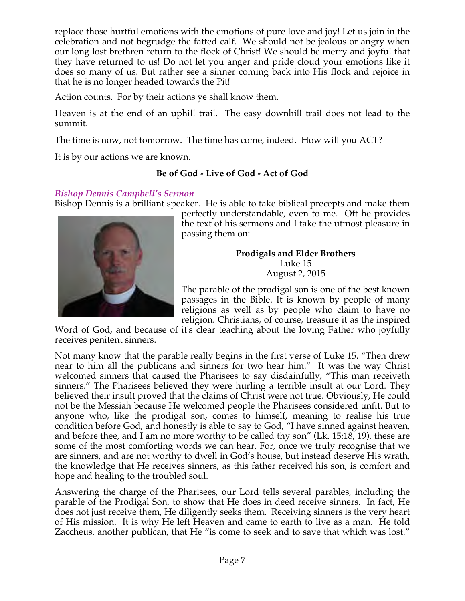replace those hurtful emotions with the emotions of pure love and joy! Let us join in the celebration and not begrudge the fatted calf. We should not be jealous or angry when our long lost brethren return to the flock of Christ! We should be merry and joyful that they have returned to us! Do not let you anger and pride cloud your emotions like it does so many of us. But rather see a sinner coming back into His flock and rejoice in that he is no longer headed towards the Pit!

Action counts. For by their actions ye shall know them.

Heaven is at the end of an uphill trail. The easy downhill trail does not lead to the summit.

The time is now, not tomorrow. The time has come, indeed. How will you ACT?

It is by our actions we are known.

# **Be of God - Live of God - Act of God**

# *Bishop Dennis Campbell's Sermon*

Bishop Dennis is a brilliant speaker. He is able to take biblical precepts and make them



perfectly understandable, even to me. Oft he provides the text of his sermons and I take the utmost pleasure in passing them on:

> **Prodigals and Elder Brothers** Luke 15 August 2, 2015

The parable of the prodigal son is one of the best known passages in the Bible. It is known by people of many religions as well as by people who claim to have no religion. Christians, of course, treasure it as the inspired

Word of God, and because of it's clear teaching about the loving Father who joyfully receives penitent sinners.

Not many know that the parable really begins in the first verse of Luke 15. "Then drew near to him all the publicans and sinners for two hear him." It was the way Christ welcomed sinners that caused the Pharisees to say disdainfully, "This man receiveth sinners." The Pharisees believed they were hurling a terrible insult at our Lord. They believed their insult proved that the claims of Christ were not true. Obviously, He could not be the Messiah because He welcomed people the Pharisees considered unfit. But to anyone who, like the prodigal son, comes to himself, meaning to realise his true condition before God, and honestly is able to say to God, "I have sinned against heaven, and before thee, and I am no more worthy to be called thy son" (Lk. 15:18, 19), these are some of the most comforting words we can hear. For, once we truly recognise that we are sinners, and are not worthy to dwell in God's house, but instead deserve His wrath, the knowledge that He receives sinners, as this father received his son, is comfort and hope and healing to the troubled soul.

Answering the charge of the Pharisees, our Lord tells several parables, including the parable of the Prodigal Son, to show that He does in deed receive sinners. In fact, He does not just receive them, He diligently seeks them. Receiving sinners is the very heart of His mission. It is why He left Heaven and came to earth to live as a man. He told Zaccheus, another publican, that He "is come to seek and to save that which was lost."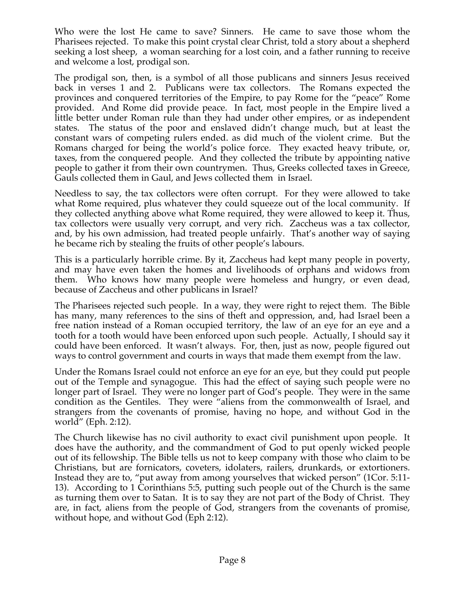Who were the lost He came to save? Sinners. He came to save those whom the Pharisees rejected. To make this point crystal clear Christ, told a story about a shepherd seeking a lost sheep, a woman searching for a lost coin, and a father running to receive and welcome a lost, prodigal son.

The prodigal son, then, is a symbol of all those publicans and sinners Jesus received back in verses 1 and 2. Publicans were tax collectors. The Romans expected the provinces and conquered territories of the Empire, to pay Rome for the "peace" Rome provided. And Rome did provide peace. In fact, most people in the Empire lived a little better under Roman rule than they had under other empires, or as independent states. The status of the poor and enslaved didn't change much, but at least the constant wars of competing rulers ended. as did much of the violent crime. But the Romans charged for being the world's police force. They exacted heavy tribute, or, taxes, from the conquered people. And they collected the tribute by appointing native people to gather it from their own countrymen. Thus, Greeks collected taxes in Greece, Gauls collected them in Gaul, and Jews collected them in Israel.

Needless to say, the tax collectors were often corrupt. For they were allowed to take what Rome required, plus whatever they could squeeze out of the local community. If they collected anything above what Rome required, they were allowed to keep it. Thus, tax collectors were usually very corrupt, and very rich. Zaccheus was a tax collector, and, by his own admission, had treated people unfairly. That's another way of saying he became rich by stealing the fruits of other people's labours.

This is a particularly horrible crime. By it, Zaccheus had kept many people in poverty, and may have even taken the homes and livelihoods of orphans and widows from them. Who knows how many people were homeless and hungry, or even dead, because of Zaccheus and other publicans in Israel?

The Pharisees rejected such people. In a way, they were right to reject them. The Bible has many, many references to the sins of theft and oppression, and, had Israel been a free nation instead of a Roman occupied territory, the law of an eye for an eye and a tooth for a tooth would have been enforced upon such people. Actually, I should say it could have been enforced. It wasn't always. For, then, just as now, people figured out ways to control government and courts in ways that made them exempt from the law.

Under the Romans Israel could not enforce an eye for an eye, but they could put people out of the Temple and synagogue. This had the effect of saying such people were no longer part of Israel. They were no longer part of God's people. They were in the same condition as the Gentiles. They were "aliens from the commonwealth of Israel, and strangers from the covenants of promise, having no hope, and without God in the world" (Eph. 2:12).

The Church likewise has no civil authority to exact civil punishment upon people. It does have the authority, and the commandment of God to put openly wicked people out of its fellowship. The Bible tells us not to keep company with those who claim to be Christians, but are fornicators, coveters, idolaters, railers, drunkards, or extortioners. Instead they are to, "put away from among yourselves that wicked person" (1Cor. 5:11- 13). According to 1 Corinthians 5:5, putting such people out of the Church is the same as turning them over to Satan. It is to say they are not part of the Body of Christ. They are, in fact, aliens from the people of God, strangers from the covenants of promise, without hope, and without God (Eph 2:12).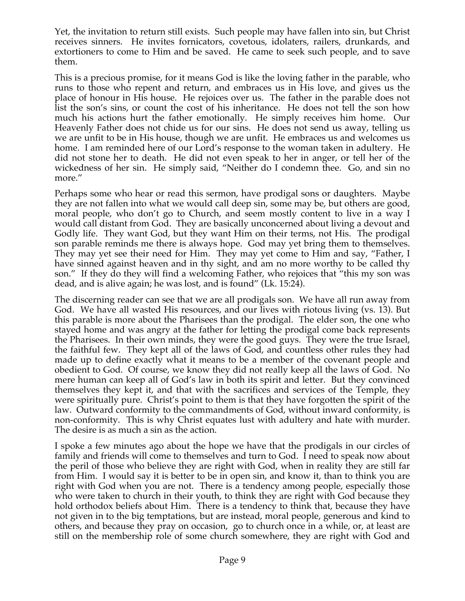Yet, the invitation to return still exists. Such people may have fallen into sin, but Christ receives sinners. He invites fornicators, covetous, idolaters, railers, drunkards, and extortioners to come to Him and be saved. He came to seek such people, and to save them.

This is a precious promise, for it means God is like the loving father in the parable, who runs to those who repent and return, and embraces us in His love, and gives us the place of honour in His house. He rejoices over us. The father in the parable does not list the son's sins, or count the cost of his inheritance. He does not tell the son how much his actions hurt the father emotionally. He simply receives him home. Our Heavenly Father does not chide us for our sins. He does not send us away, telling us we are unfit to be in His house, though we are unfit. He embraces us and welcomes us home. I am reminded here of our Lord's response to the woman taken in adultery. He did not stone her to death. He did not even speak to her in anger, or tell her of the wickedness of her sin. He simply said, "Neither do I condemn thee. Go, and sin no more."

Perhaps some who hear or read this sermon, have prodigal sons or daughters. Maybe they are not fallen into what we would call deep sin, some may be, but others are good, moral people, who don't go to Church, and seem mostly content to live in a way I would call distant from God. They are basically unconcerned about living a devout and Godly life. They want God, but they want Him on their terms, not His. The prodigal son parable reminds me there is always hope. God may yet bring them to themselves. They may yet see their need for Him. They may yet come to Him and say, "Father, I have sinned against heaven and in thy sight, and am no more worthy to be called thy son." If they do they will find a welcoming Father, who rejoices that "this my son was dead, and is alive again; he was lost, and is found" (Lk. 15:24).

The discerning reader can see that we are all prodigals son. We have all run away from God. We have all wasted His resources, and our lives with riotous living (vs. 13). But this parable is more about the Pharisees than the prodigal. The elder son, the one who stayed home and was angry at the father for letting the prodigal come back represents the Pharisees. In their own minds, they were the good guys. They were the true Israel, the faithful few. They kept all of the laws of God, and countless other rules they had made up to define exactly what it means to be a member of the covenant people and obedient to God. Of course, we know they did not really keep all the laws of God. No mere human can keep all of God's law in both its spirit and letter. But they convinced themselves they kept it, and that with the sacrifices and services of the Temple, they were spiritually pure. Christ's point to them is that they have forgotten the spirit of the law. Outward conformity to the commandments of God, without inward conformity, is non-conformity. This is why Christ equates lust with adultery and hate with murder. The desire is as much a sin as the action.

I spoke a few minutes ago about the hope we have that the prodigals in our circles of family and friends will come to themselves and turn to God. I need to speak now about the peril of those who believe they are right with God, when in reality they are still far from Him. I would say it is better to be in open sin, and know it, than to think you are right with God when you are not. There is a tendency among people, especially those who were taken to church in their youth, to think they are right with God because they hold orthodox beliefs about Him. There is a tendency to think that, because they have not given in to the big temptations, but are instead, moral people, generous and kind to others, and because they pray on occasion, go to church once in a while, or, at least are still on the membership role of some church somewhere, they are right with God and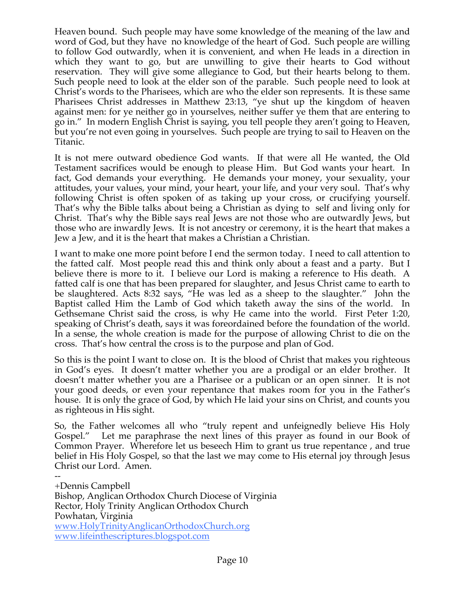Heaven bound. Such people may have some knowledge of the meaning of the law and word of God, but they have no knowledge of the heart of God. Such people are willing to follow God outwardly, when it is convenient, and when He leads in a direction in which they want to go, but are unwilling to give their hearts to God without reservation. They will give some allegiance to God, but their hearts belong to them. Such people need to look at the elder son of the parable. Such people need to look at Christ's words to the Pharisees, which are who the elder son represents. It is these same Pharisees Christ addresses in Matthew 23:13, "ye shut up the kingdom of heaven against men: for ye neither go in yourselves, neither suffer ye them that are entering to go in." In modern English Christ is saying, you tell people they aren't going to Heaven, but you're not even going in yourselves. Such people are trying to sail to Heaven on the Titanic.

It is not mere outward obedience God wants. If that were all He wanted, the Old Testament sacrifices would be enough to please Him. But God wants your heart. In fact, God demands your everything. He demands your money, your sexuality, your attitudes, your values, your mind, your heart, your life, and your very soul. That's why following Christ is often spoken of as taking up your cross, or crucifying yourself. That's why the Bible talks about being a Christian as dying to self and living only for Christ. That's why the Bible says real Jews are not those who are outwardly Jews, but those who are inwardly Jews. It is not ancestry or ceremony, it is the heart that makes a Jew a Jew, and it is the heart that makes a Christian a Christian.

I want to make one more point before I end the sermon today. I need to call attention to the fatted calf. Most people read this and think only about a feast and a party. But I believe there is more to it. I believe our Lord is making a reference to His death. A fatted calf is one that has been prepared for slaughter, and Jesus Christ came to earth to be slaughtered. Acts 8:32 says, "He was led as a sheep to the slaughter." John the Baptist called Him the Lamb of God which taketh away the sins of the world. In Gethsemane Christ said the cross, is why He came into the world. First Peter 1:20, speaking of Christ's death, says it was foreordained before the foundation of the world. In a sense, the whole creation is made for the purpose of allowing Christ to die on the cross. That's how central the cross is to the purpose and plan of God.

So this is the point I want to close on. It is the blood of Christ that makes you righteous in God's eyes. It doesn't matter whether you are a prodigal or an elder brother. It doesn't matter whether you are a Pharisee or a publican or an open sinner. It is not your good deeds, or even your repentance that makes room for you in the Father's house. It is only the grace of God, by which He laid your sins on Christ, and counts you as righteous in His sight.

So, the Father welcomes all who "truly repent and unfeignedly believe His Holy Gospel." Let me paraphrase the next lines of this prayer as found in our Book of Common Prayer. Wherefore let us beseech Him to grant us true repentance , and true belief in His Holy Gospel, so that the last we may come to His eternal joy through Jesus Christ our Lord. Amen.

-- +Dennis Campbell Bishop, Anglican Orthodox Church Diocese of Virginia Rector, Holy Trinity Anglican Orthodox Church Powhatan, Virginia www.HolyTrinityAnglicanOrthodoxChurch.org www.lifeinthescriptures.blogspot.com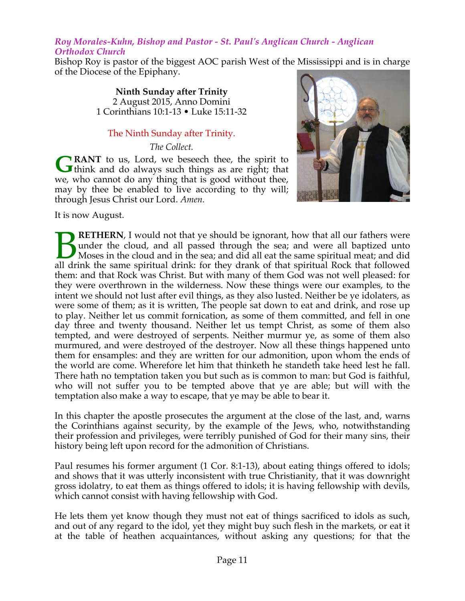#### *Roy Morales-Kuhn, Bishop and Pastor - St. Paul's Anglican Church - Anglican Orthodox Church*

Bishop Roy is pastor of the biggest AOC parish West of the Mississippi and is in charge of the Diocese of the Epiphany.

> **Ninth Sunday after Trinity** 2 August 2015, Anno Domini 1 Corinthians 10:1-13 • Luke 15:11-32

### The Ninth Sunday after Trinity.

*The Collect.*

**RANT** to us, Lord, we beseech thee, the spirit to **GRANT** to us, Lord, we beseech thee, the spirit to think and do always such things as are right; that we, who cannot do any thing that is good without thee, may by thee be enabled to live according to thy will; through Jesus Christ our Lord. *Amen.*



It is now August.

**RETHERN**, I would not that ye should be ignorant, how that all our fathers were under the cloud, and all passed through the sea; and were all baptized unto Moses in the cloud and in the sea; and did all eat the same spiritual meat; and did **BURETHERN**, I would not that ye should be ignorant, how that all our fathers were under the cloud, and all passed through the sea; and were all baptized unto Moses in the cloud and in the sea; and did all eat the same spi them: and that Rock was Christ. But with many of them God was not well pleased: for they were overthrown in the wilderness. Now these things were our examples, to the intent we should not lust after evil things, as they also lusted. Neither be ye idolaters, as were some of them; as it is written, The people sat down to eat and drink, and rose up to play. Neither let us commit fornication, as some of them committed, and fell in one day three and twenty thousand. Neither let us tempt Christ, as some of them also tempted, and were destroyed of serpents. Neither murmur ye, as some of them also murmured, and were destroyed of the destroyer. Now all these things happened unto them for ensamples: and they are written for our admonition, upon whom the ends of the world are come. Wherefore let him that thinketh he standeth take heed lest he fall. There hath no temptation taken you but such as is common to man: but God is faithful, who will not suffer you to be tempted above that ye are able; but will with the temptation also make a way to escape, that ye may be able to bear it.

In this chapter the apostle prosecutes the argument at the close of the last, and, warns the Corinthians against security, by the example of the Jews, who, notwithstanding their profession and privileges, were terribly punished of God for their many sins, their history being left upon record for the admonition of Christians.

Paul resumes his former argument (1 Cor. 8:1-13), about eating things offered to idols; and shows that it was utterly inconsistent with true Christianity, that it was downright gross idolatry, to eat them as things offered to idols; it is having fellowship with devils, which cannot consist with having fellowship with God.

He lets them yet know though they must not eat of things sacrificed to idols as such, and out of any regard to the idol, yet they might buy such flesh in the markets, or eat it at the table of heathen acquaintances, without asking any questions; for that the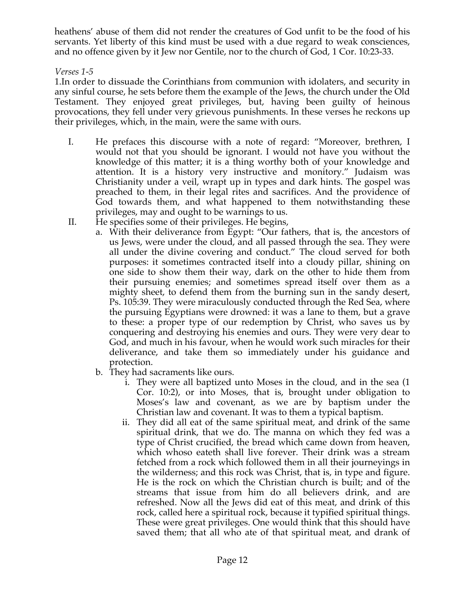heathens' abuse of them did not render the creatures of God unfit to be the food of his servants. Yet liberty of this kind must be used with a due regard to weak consciences, and no offence given by it Jew nor Gentile, nor to the church of God, 1 Cor. 10:23-33.

#### *Verses 1-5*

1.In order to dissuade the Corinthians from communion with idolaters, and security in any sinful course, he sets before them the example of the Jews, the church under the Old Testament. They enjoyed great privileges, but, having been guilty of heinous provocations, they fell under very grievous punishments. In these verses he reckons up their privileges, which, in the main, were the same with ours.

- I. He prefaces this discourse with a note of regard: "Moreover, brethren, I would not that you should be ignorant. I would not have you without the knowledge of this matter; it is a thing worthy both of your knowledge and attention. It is a history very instructive and monitory." Judaism was Christianity under a veil, wrapt up in types and dark hints. The gospel was preached to them, in their legal rites and sacrifices. And the providence of God towards them, and what happened to them notwithstanding these privileges, may and ought to be warnings to us.
- II. He specifies some of their privileges. He begins,
	- a. With their deliverance from Egypt: "Our fathers, that is, the ancestors of us Jews, were under the cloud, and all passed through the sea. They were all under the divine covering and conduct." The cloud served for both purposes: it sometimes contracted itself into a cloudy pillar, shining on one side to show them their way, dark on the other to hide them from their pursuing enemies; and sometimes spread itself over them as a mighty sheet, to defend them from the burning sun in the sandy desert, Ps. 105:39. They were miraculously conducted through the Red Sea, where the pursuing Egyptians were drowned: it was a lane to them, but a grave to these: a proper type of our redemption by Christ, who saves us by conquering and destroying his enemies and ours. They were very dear to God, and much in his favour, when he would work such miracles for their deliverance, and take them so immediately under his guidance and protection.
		- b. They had sacraments like ours.
			- i. They were all baptized unto Moses in the cloud, and in the sea (1 Cor. 10:2), or into Moses, that is, brought under obligation to Moses's law and covenant, as we are by baptism under the Christian law and covenant. It was to them a typical baptism.
			- ii. They did all eat of the same spiritual meat, and drink of the same spiritual drink, that we do. The manna on which they fed was a type of Christ crucified, the bread which came down from heaven, which whoso eateth shall live forever. Their drink was a stream fetched from a rock which followed them in all their journeyings in the wilderness; and this rock was Christ, that is, in type and figure. He is the rock on which the Christian church is built; and of the streams that issue from him do all believers drink, and are refreshed. Now all the Jews did eat of this meat, and drink of this rock, called here a spiritual rock, because it typified spiritual things. These were great privileges. One would think that this should have saved them; that all who ate of that spiritual meat, and drank of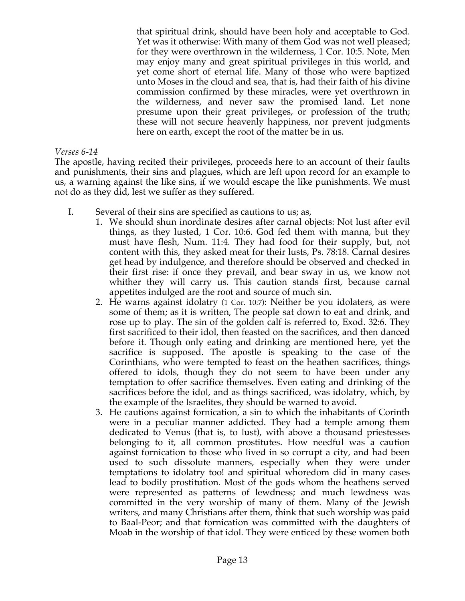that spiritual drink, should have been holy and acceptable to God. Yet was it otherwise: With many of them God was not well pleased; for they were overthrown in the wilderness, 1 Cor. 10:5. Note, Men may enjoy many and great spiritual privileges in this world, and yet come short of eternal life. Many of those who were baptized unto Moses in the cloud and sea, that is, had their faith of his divine commission confirmed by these miracles, were yet overthrown in the wilderness, and never saw the promised land. Let none presume upon their great privileges, or profession of the truth; these will not secure heavenly happiness, nor prevent judgments here on earth, except the root of the matter be in us.

#### *Verses 6-14*

The apostle, having recited their privileges, proceeds here to an account of their faults and punishments, their sins and plagues, which are left upon record for an example to us, a warning against the like sins, if we would escape the like punishments. We must not do as they did, lest we suffer as they suffered.

- I. Several of their sins are specified as cautions to us; as,
	- 1. We should shun inordinate desires after carnal objects: Not lust after evil things, as they lusted, 1 Cor. 10:6. God fed them with manna, but they must have flesh, Num. 11:4. They had food for their supply, but, not content with this, they asked meat for their lusts, Ps. 78:18. Carnal desires get head by indulgence, and therefore should be observed and checked in their first rise: if once they prevail, and bear sway in us, we know not whither they will carry us. This caution stands first, because carnal appetites indulged are the root and source of much sin.
	- 2. He warns against idolatry (1 Cor. 10:7): Neither be you idolaters, as were some of them; as it is written, The people sat down to eat and drink, and rose up to play. The sin of the golden calf is referred to, Exod. 32:6. They first sacrificed to their idol, then feasted on the sacrifices, and then danced before it. Though only eating and drinking are mentioned here, yet the sacrifice is supposed. The apostle is speaking to the case of the Corinthians, who were tempted to feast on the heathen sacrifices, things offered to idols, though they do not seem to have been under any temptation to offer sacrifice themselves. Even eating and drinking of the sacrifices before the idol, and as things sacrificed, was idolatry, which, by the example of the Israelites, they should be warned to avoid.
	- 3. He cautions against fornication, a sin to which the inhabitants of Corinth were in a peculiar manner addicted. They had a temple among them dedicated to Venus (that is, to lust), with above a thousand priestesses belonging to it, all common prostitutes. How needful was a caution against fornication to those who lived in so corrupt a city, and had been used to such dissolute manners, especially when they were under temptations to idolatry too! and spiritual whoredom did in many cases lead to bodily prostitution. Most of the gods whom the heathens served were represented as patterns of lewdness; and much lewdness was committed in the very worship of many of them. Many of the Jewish writers, and many Christians after them, think that such worship was paid to Baal-Peor; and that fornication was committed with the daughters of Moab in the worship of that idol. They were enticed by these women both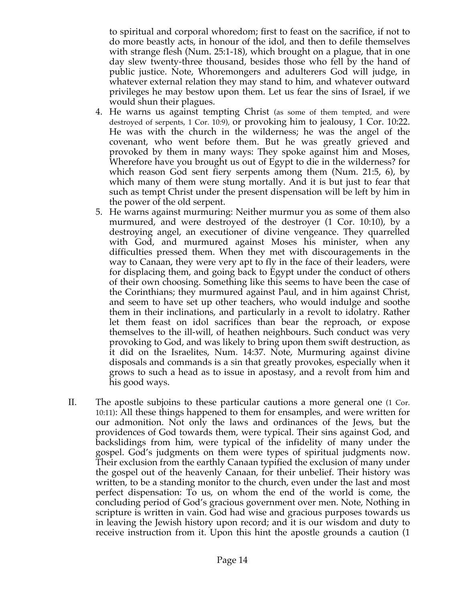to spiritual and corporal whoredom; first to feast on the sacrifice, if not to do more beastly acts, in honour of the idol, and then to defile themselves with strange flesh (Num. 25:1-18), which brought on a plague, that in one day slew twenty-three thousand, besides those who fell by the hand of public justice. Note, Whoremongers and adulterers God will judge, in whatever external relation they may stand to him, and whatever outward privileges he may bestow upon them. Let us fear the sins of Israel, if we would shun their plagues.

- 4. He warns us against tempting Christ (as some of them tempted, and were destroyed of serpents, 1 Cor. 10:9), or provoking him to jealousy, 1 Cor. 10:22. He was with the church in the wilderness; he was the angel of the covenant, who went before them. But he was greatly grieved and provoked by them in many ways: They spoke against him and Moses, Wherefore have you brought us out of Egypt to die in the wilderness? for which reason God sent fiery serpents among them (Num. 21:5, 6), by which many of them were stung mortally. And it is but just to fear that such as tempt Christ under the present dispensation will be left by him in the power of the old serpent.
- 5. He warns against murmuring: Neither murmur you as some of them also murmured, and were destroyed of the destroyer (1 Cor. 10:10), by a destroying angel, an executioner of divine vengeance. They quarrelled with God, and murmured against Moses his minister, when any difficulties pressed them. When they met with discouragements in the way to Canaan, they were very apt to fly in the face of their leaders, were for displacing them, and going back to Egypt under the conduct of others of their own choosing. Something like this seems to have been the case of the Corinthians; they murmured against Paul, and in him against Christ, and seem to have set up other teachers, who would indulge and soothe them in their inclinations, and particularly in a revolt to idolatry. Rather let them feast on idol sacrifices than bear the reproach, or expose themselves to the ill-will, of heathen neighbours. Such conduct was very provoking to God, and was likely to bring upon them swift destruction, as it did on the Israelites, Num. 14:37. Note, Murmuring against divine disposals and commands is a sin that greatly provokes, especially when it grows to such a head as to issue in apostasy, and a revolt from him and his good ways.
- II. The apostle subjoins to these particular cautions a more general one (1 Cor. 10:11): All these things happened to them for ensamples, and were written for our admonition. Not only the laws and ordinances of the Jews, but the providences of God towards them, were typical. Their sins against God, and backslidings from him, were typical of the infidelity of many under the gospel. God's judgments on them were types of spiritual judgments now. Their exclusion from the earthly Canaan typified the exclusion of many under the gospel out of the heavenly Canaan, for their unbelief. Their history was written, to be a standing monitor to the church, even under the last and most perfect dispensation: To us, on whom the end of the world is come, the concluding period of God's gracious government over men. Note, Nothing in scripture is written in vain. God had wise and gracious purposes towards us in leaving the Jewish history upon record; and it is our wisdom and duty to receive instruction from it. Upon this hint the apostle grounds a caution (1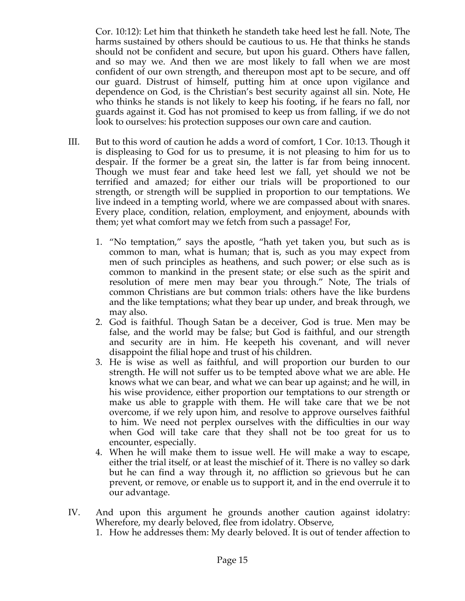Cor. 10:12): Let him that thinketh he standeth take heed lest he fall. Note, The harms sustained by others should be cautious to us. He that thinks he stands should not be confident and secure, but upon his guard. Others have fallen, and so may we. And then we are most likely to fall when we are most confident of our own strength, and thereupon most apt to be secure, and off our guard. Distrust of himself, putting him at once upon vigilance and dependence on God, is the Christian's best security against all sin. Note, He who thinks he stands is not likely to keep his footing, if he fears no fall, nor guards against it. God has not promised to keep us from falling, if we do not look to ourselves: his protection supposes our own care and caution.

- III. But to this word of caution he adds a word of comfort, 1 Cor. 10:13. Though it is displeasing to God for us to presume, it is not pleasing to him for us to despair. If the former be a great sin, the latter is far from being innocent. Though we must fear and take heed lest we fall, yet should we not be terrified and amazed; for either our trials will be proportioned to our strength, or strength will be supplied in proportion to our temptations. We live indeed in a tempting world, where we are compassed about with snares. Every place, condition, relation, employment, and enjoyment, abounds with them; yet what comfort may we fetch from such a passage! For,
	- 1. "No temptation," says the apostle, "hath yet taken you, but such as is common to man, what is human; that is, such as you may expect from men of such principles as heathens, and such power; or else such as is common to mankind in the present state; or else such as the spirit and resolution of mere men may bear you through." Note, The trials of common Christians are but common trials: others have the like burdens and the like temptations; what they bear up under, and break through, we may also.
	- 2. God is faithful. Though Satan be a deceiver, God is true. Men may be false, and the world may be false; but God is faithful, and our strength and security are in him. He keepeth his covenant, and will never disappoint the filial hope and trust of his children.
	- 3. He is wise as well as faithful, and will proportion our burden to our strength. He will not suffer us to be tempted above what we are able. He knows what we can bear, and what we can bear up against; and he will, in his wise providence, either proportion our temptations to our strength or make us able to grapple with them. He will take care that we be not overcome, if we rely upon him, and resolve to approve ourselves faithful to him. We need not perplex ourselves with the difficulties in our way when God will take care that they shall not be too great for us to encounter, especially.
	- 4. When he will make them to issue well. He will make a way to escape, either the trial itself, or at least the mischief of it. There is no valley so dark but he can find a way through it, no affliction so grievous but he can prevent, or remove, or enable us to support it, and in the end overrule it to our advantage.
- IV. And upon this argument he grounds another caution against idolatry: Wherefore, my dearly beloved, flee from idolatry. Observe,
	- 1. How he addresses them: My dearly beloved. It is out of tender affection to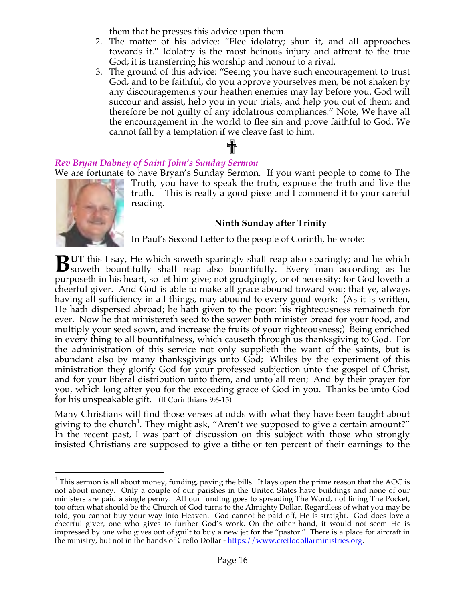them that he presses this advice upon them.

- 2. The matter of his advice: "Flee idolatry; shun it, and all approaches towards it." Idolatry is the most heinous injury and affront to the true God; it is transferring his worship and honour to a rival.
- 3. The ground of this advice: "Seeing you have such encouragement to trust God, and to be faithful, do you approve yourselves men, be not shaken by any discouragements your heathen enemies may lay before you. God will succour and assist, help you in your trials, and help you out of them; and therefore be not guilty of any idolatrous compliances." Note, We have all the encouragement in the world to flee sin and prove faithful to God. We cannot fall by a temptation if we cleave fast to him.

# ✟

#### *Rev Bryan Dabney of Saint John's Sunday Sermon*

We are fortunate to have Bryan's Sunday Sermon. If you want people to come to The



Truth, you have to speak the truth, expouse the truth and live the truth. This is really a good piece and I commend it to your careful reading.

#### **Ninth Sunday after Trinity**

In Paul's Second Letter to the people of Corinth, he wrote:

**UT** this I say, He which soweth sparingly shall reap also sparingly; and he which **BUT** this I say, He which soweth sparingly shall reap also sparingly; and he which soweth bountifully shall reap also bountifully. Every man according as he space that the boundary shall reap also bountifully. Every man a purposeth in his heart, so let him give; not grudgingly, or of necessity: for God loveth a cheerful giver. And God is able to make all grace abound toward you; that ye, always having all sufficiency in all things, may abound to every good work: (As it is written, He hath dispersed abroad; he hath given to the poor: his righteousness remaineth for ever. Now he that ministereth seed to the sower both minister bread for your food, and multiply your seed sown, and increase the fruits of your righteousness;) Being enriched in every thing to all bountifulness, which causeth through us thanksgiving to God. For the administration of this service not only supplieth the want of the saints, but is abundant also by many thanksgivings unto God; Whiles by the experiment of this ministration they glorify God for your professed subjection unto the gospel of Christ, and for your liberal distribution unto them, and unto all men; And by their prayer for you, which long after you for the exceeding grace of God in you. Thanks be unto God for his unspeakable gift. (II Corinthians 9:6-15)

Many Christians will find those verses at odds with what they have been taught about giving to the church<sup>1</sup>. They might ask, "Aren't we supposed to give a certain amount?" In the recent past, I was part of discussion on this subject with those who strongly insisted Christians are supposed to give a tithe or ten percent of their earnings to the

 $1$  This sermon is all about money, funding, paying the bills. It lays open the prime reason that the AOC is not about money. Only a couple of our parishes in the United States have buildings and none of our ministers are paid a single penny. All our funding goes to spreading The Word, not lining The Pocket, too often what should be the Church of God turns to the Almighty Dollar. Regardless of what you may be told, you cannot buy your way into Heaven. God cannot be paid off, He is straight. God does love a cheerful giver, one who gives to further God's work. On the other hand, it would not seem He is impressed by one who gives out of guilt to buy a new jet for the "pastor." There is a place for aircraft in the ministry, but not in the hands of Creflo Dollar - <u>https://www.creflodollarministries.org</u>.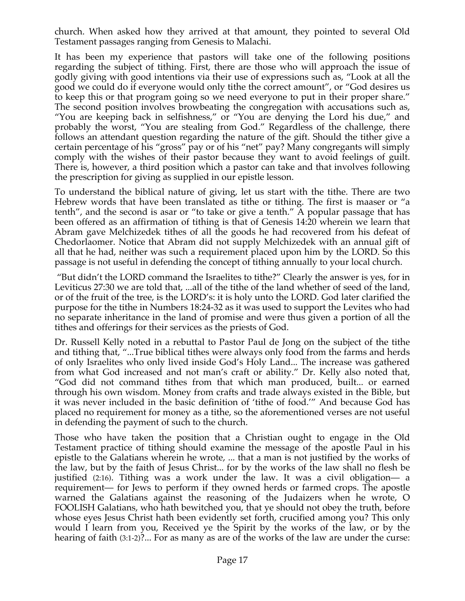church. When asked how they arrived at that amount, they pointed to several Old Testament passages ranging from Genesis to Malachi.

It has been my experience that pastors will take one of the following positions regarding the subject of tithing. First, there are those who will approach the issue of godly giving with good intentions via their use of expressions such as, "Look at all the good we could do if everyone would only tithe the correct amount", or "God desires us to keep this or that program going so we need everyone to put in their proper share." The second position involves browbeating the congregation with accusations such as, "You are keeping back in selfishness," or "You are denying the Lord his due," and probably the worst, "You are stealing from God." Regardless of the challenge, there follows an attendant question regarding the nature of the gift. Should the tither give a certain percentage of his "gross" pay or of his "net" pay? Many congregants will simply comply with the wishes of their pastor because they want to avoid feelings of guilt. There is, however, a third position which a pastor can take and that involves following the prescription for giving as supplied in our epistle lesson.

To understand the biblical nature of giving, let us start with the tithe. There are two Hebrew words that have been translated as tithe or tithing. The first is maaser or "a tenth", and the second is asar or "to take or give a tenth." A popular passage that has been offered as an affirmation of tithing is that of Genesis 14:20 wherein we learn that Abram gave Melchizedek tithes of all the goods he had recovered from his defeat of Chedorlaomer. Notice that Abram did not supply Melchizedek with an annual gift of all that he had, neither was such a requirement placed upon him by the LORD. So this passage is not useful in defending the concept of tithing annually to your local church.

 "But didn't the LORD command the Israelites to tithe?" Clearly the answer is yes, for in Leviticus 27:30 we are told that, ...all of the tithe of the land whether of seed of the land, or of the fruit of the tree, is the LORD's: it is holy unto the LORD. God later clarified the purpose for the tithe in Numbers 18:24-32 as it was used to support the Levites who had no separate inheritance in the land of promise and were thus given a portion of all the tithes and offerings for their services as the priests of God.

Dr. Russell Kelly noted in a rebuttal to Pastor Paul de Jong on the subject of the tithe and tithing that, "...True biblical tithes were always only food from the farms and herds of only Israelites who only lived inside God's Holy Land... The increase was gathered from what God increased and not man's craft or ability." Dr. Kelly also noted that, "God did not command tithes from that which man produced, built... or earned through his own wisdom. Money from crafts and trade always existed in the Bible, but it was never included in the basic definition of 'tithe of food.'" And because God has placed no requirement for money as a tithe, so the aforementioned verses are not useful in defending the payment of such to the church.

Those who have taken the position that a Christian ought to engage in the Old Testament practice of tithing should examine the message of the apostle Paul in his epistle to the Galatians wherein he wrote, ... that a man is not justified by the works of the law, but by the faith of Jesus Christ... for by the works of the law shall no flesh be justified (2:16). Tithing was a work under the law. It was a civil obligation— a requirement— for Jews to perform if they owned herds or farmed crops. The apostle warned the Galatians against the reasoning of the Judaizers when he wrote, O FOOLISH Galatians, who hath bewitched you, that ye should not obey the truth, before whose eyes Jesus Christ hath been evidently set forth, crucified among you? This only would I learn from you, Received ye the Spirit by the works of the law, or by the hearing of faith (3:1-2)?... For as many as are of the works of the law are under the curse: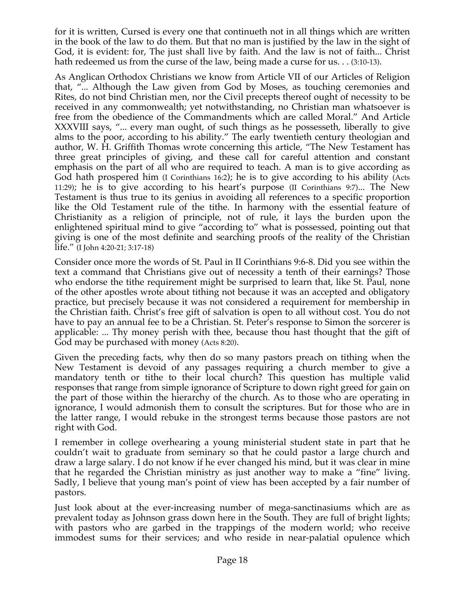for it is written, Cursed is every one that continueth not in all things which are written in the book of the law to do them. But that no man is justified by the law in the sight of God, it is evident: for, The just shall live by faith. And the law is not of faith... Christ hath redeemed us from the curse of the law, being made a curse for us. . . (3:10-13).

As Anglican Orthodox Christians we know from Article VII of our Articles of Religion that, "... Although the Law given from God by Moses, as touching ceremonies and Rites, do not bind Christian men, nor the Civil precepts thereof ought of necessity to be received in any commonwealth; yet notwithstanding, no Christian man whatsoever is free from the obedience of the Commandments which are called Moral." And Article XXXVIII says, "... every man ought, of such things as he possesseth, liberally to give alms to the poor, according to his ability." The early twentieth century theologian and author, W. H. Griffith Thomas wrote concerning this article, "The New Testament has three great principles of giving, and these call for careful attention and constant emphasis on the part of all who are required to teach. A man is to give according as God hath prospered him (I Corinthians 16:2); he is to give according to his ability (Acts 11:29); he is to give according to his heart's purpose (II Corinthians 9:7)... The New Testament is thus true to its genius in avoiding all references to a specific proportion like the Old Testament rule of the tithe. In harmony with the essential feature of Christianity as a religion of principle, not of rule, it lays the burden upon the enlightened spiritual mind to give "according to" what is possessed, pointing out that giving is one of the most definite and searching proofs of the reality of the Christian life." (I John 4:20-21; 3:17-18)

Consider once more the words of St. Paul in II Corinthians 9:6-8. Did you see within the text a command that Christians give out of necessity a tenth of their earnings? Those who endorse the tithe requirement might be surprised to learn that, like St. Paul, none of the other apostles wrote about tithing not because it was an accepted and obligatory practice, but precisely because it was not considered a requirement for membership in the Christian faith. Christ's free gift of salvation is open to all without cost. You do not have to pay an annual fee to be a Christian. St. Peter's response to Simon the sorcerer is applicable: ... Thy money perish with thee, because thou hast thought that the gift of God may be purchased with money (Acts 8:20).

Given the preceding facts, why then do so many pastors preach on tithing when the New Testament is devoid of any passages requiring a church member to give a mandatory tenth or tithe to their local church? This question has multiple valid responses that range from simple ignorance of Scripture to down right greed for gain on the part of those within the hierarchy of the church. As to those who are operating in ignorance, I would admonish them to consult the scriptures. But for those who are in the latter range, I would rebuke in the strongest terms because those pastors are not right with God.

I remember in college overhearing a young ministerial student state in part that he couldn't wait to graduate from seminary so that he could pastor a large church and draw a large salary. I do not know if he ever changed his mind, but it was clear in mine that he regarded the Christian ministry as just another way to make a "fine" living. Sadly, I believe that young man's point of view has been accepted by a fair number of pastors.

Just look about at the ever-increasing number of mega-sanctinasiums which are as prevalent today as Johnson grass down here in the South. They are full of bright lights; with pastors who are garbed in the trappings of the modern world; who receive immodest sums for their services; and who reside in near-palatial opulence which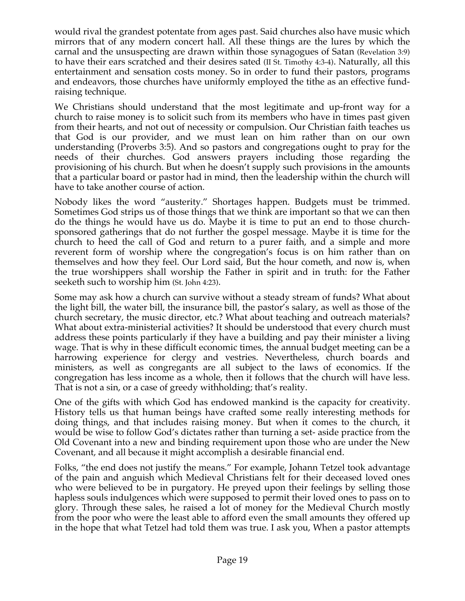would rival the grandest potentate from ages past. Said churches also have music which mirrors that of any modern concert hall. All these things are the lures by which the carnal and the unsuspecting are drawn within those synagogues of Satan (Revelation 3:9) to have their ears scratched and their desires sated (II St. Timothy 4:3-4). Naturally, all this entertainment and sensation costs money. So in order to fund their pastors, programs and endeavors, those churches have uniformly employed the tithe as an effective fundraising technique.

We Christians should understand that the most legitimate and up-front way for a church to raise money is to solicit such from its members who have in times past given from their hearts, and not out of necessity or compulsion. Our Christian faith teaches us that God is our provider, and we must lean on him rather than on our own understanding (Proverbs 3:5). And so pastors and congregations ought to pray for the needs of their churches. God answers prayers including those regarding the provisioning of his church. But when he doesn't supply such provisions in the amounts that a particular board or pastor had in mind, then the leadership within the church will have to take another course of action.

Nobody likes the word "austerity." Shortages happen. Budgets must be trimmed. Sometimes God strips us of those things that we think are important so that we can then do the things he would have us do. Maybe it is time to put an end to those churchsponsored gatherings that do not further the gospel message. Maybe it is time for the church to heed the call of God and return to a purer faith, and a simple and more reverent form of worship where the congregation's focus is on him rather than on themselves and how they feel. Our Lord said, But the hour cometh, and now is, when the true worshippers shall worship the Father in spirit and in truth: for the Father seeketh such to worship him (St. John 4:23).

Some may ask how a church can survive without a steady stream of funds? What about the light bill, the water bill, the insurance bill, the pastor's salary, as well as those of the church secretary, the music director, etc.? What about teaching and outreach materials? What about extra-ministerial activities? It should be understood that every church must address these points particularly if they have a building and pay their minister a living wage. That is why in these difficult economic times, the annual budget meeting can be a harrowing experience for clergy and vestries. Nevertheless, church boards and ministers, as well as congregants are all subject to the laws of economics. If the congregation has less income as a whole, then it follows that the church will have less. That is not a sin, or a case of greedy withholding; that's reality.

One of the gifts with which God has endowed mankind is the capacity for creativity. History tells us that human beings have crafted some really interesting methods for doing things, and that includes raising money. But when it comes to the church, it would be wise to follow God's dictates rather than turning a set- aside practice from the Old Covenant into a new and binding requirement upon those who are under the New Covenant, and all because it might accomplish a desirable financial end.

Folks, "the end does not justify the means." For example, Johann Tetzel took advantage of the pain and anguish which Medieval Christians felt for their deceased loved ones who were believed to be in purgatory. He preyed upon their feelings by selling those hapless souls indulgences which were supposed to permit their loved ones to pass on to glory. Through these sales, he raised a lot of money for the Medieval Church mostly from the poor who were the least able to afford even the small amounts they offered up in the hope that what Tetzel had told them was true. I ask you, When a pastor attempts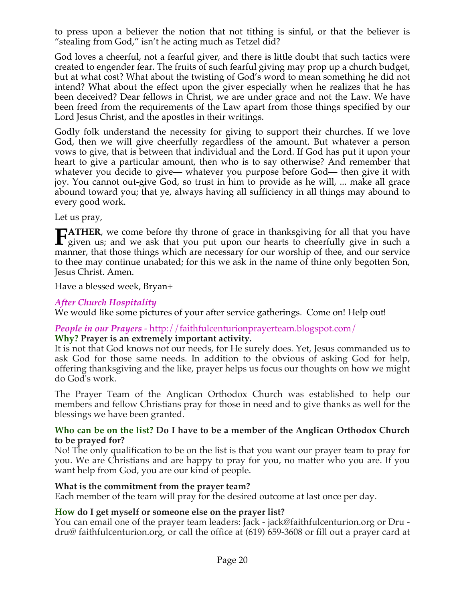to press upon a believer the notion that not tithing is sinful, or that the believer is "stealing from God," isn't he acting much as Tetzel did?

God loves a cheerful, not a fearful giver, and there is little doubt that such tactics were created to engender fear. The fruits of such fearful giving may prop up a church budget, but at what cost? What about the twisting of God's word to mean something he did not intend? What about the effect upon the giver especially when he realizes that he has been deceived? Dear fellows in Christ, we are under grace and not the Law. We have been freed from the requirements of the Law apart from those things specified by our Lord Jesus Christ, and the apostles in their writings.

Godly folk understand the necessity for giving to support their churches. If we love God, then we will give cheerfully regardless of the amount. But whatever a person vows to give, that is between that individual and the Lord. If God has put it upon your heart to give a particular amount, then who is to say otherwise? And remember that whatever you decide to give— whatever you purpose before God— then give it with joy. You cannot out-give God, so trust in him to provide as he will, ... make all grace abound toward you; that ye, always having all sufficiency in all things may abound to every good work.

Let us pray,

**TATHER**, we come before thy throne of grace in thanksgiving for all that you have **FATHER**, we come before thy throne of grace in thanks giving for all that you have given us; and we ask that you put upon our hearts to cheerfully give in such a manner, that those things which are necessary for our worship of thee, and our service to thee may continue unabated; for this we ask in the name of thine only begotten Son, Jesus Christ. Amen.

Have a blessed week, Bryan+

#### *After Church Hospitality*

We would like some pictures of your after service gatherings. Come on! Help out!

# *People in our Prayers* - http://faithfulcenturionprayerteam.blogspot.com/

#### **Why? Prayer is an extremely important activity.**

It is not that God knows not our needs, for He surely does. Yet, Jesus commanded us to ask God for those same needs. In addition to the obvious of asking God for help, offering thanksgiving and the like, prayer helps us focus our thoughts on how we might do God's work.

The Prayer Team of the Anglican Orthodox Church was established to help our members and fellow Christians pray for those in need and to give thanks as well for the blessings we have been granted.

#### **Who can be on the list? Do I have to be a member of the Anglican Orthodox Church to be prayed for?**

No! The only qualification to be on the list is that you want our prayer team to pray for you. We are Christians and are happy to pray for you, no matter who you are. If you want help from God, you are our kind of people.

#### **What is the commitment from the prayer team?**

Each member of the team will pray for the desired outcome at last once per day.

#### **How do I get myself or someone else on the prayer list?**

You can email one of the prayer team leaders: Jack - jack@faithfulcenturion.org or Dru dru@ faithfulcenturion.org, or call the office at (619) 659-3608 or fill out a prayer card at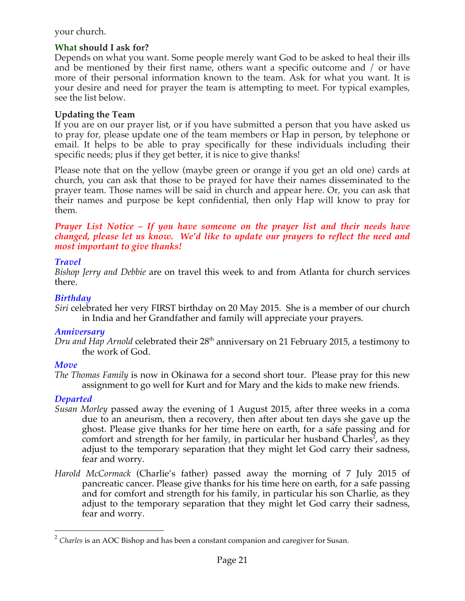#### your church.

### **What should I ask for?**

Depends on what you want. Some people merely want God to be asked to heal their ills and be mentioned by their first name, others want a specific outcome and / or have more of their personal information known to the team. Ask for what you want. It is your desire and need for prayer the team is attempting to meet. For typical examples, see the list below.

#### **Updating the Team**

If you are on our prayer list, or if you have submitted a person that you have asked us to pray for, please update one of the team members or Hap in person, by telephone or email. It helps to be able to pray specifically for these individuals including their specific needs; plus if they get better, it is nice to give thanks!

Please note that on the yellow (maybe green or orange if you get an old one) cards at church, you can ask that those to be prayed for have their names disseminated to the prayer team. Those names will be said in church and appear here. Or, you can ask that their names and purpose be kept confidential, then only Hap will know to pray for them.

#### *Prayer List Notice – If you have someone on the prayer list and their needs have changed, please let us know. We'd like to update our prayers to reflect the need and most important to give thanks!*

#### *Travel*

*Bishop Jerry and Debbie* are on travel this week to and from Atlanta for church services there.

### *Birthday*

*Siri* celebrated her very FIRST birthday on 20 May 2015. She is a member of our church in India and her Grandfather and family will appreciate your prayers.

#### *Anniversary*

*Dru and Hap Arnold* celebrated their 28th anniversary on 21 February 2015, a testimony to the work of God.

#### *Move*

*The Thomas Family* is now in Okinawa for a second short tour. Please pray for this new assignment to go well for Kurt and for Mary and the kids to make new friends.

#### *Departed*

- *Susan Morley* passed away the evening of 1 August 2015, after three weeks in a coma due to an aneurism, then a recovery, then after about ten days she gave up the ghost. Please give thanks for her time here on earth, for a safe passing and for comfort and strength for her family, in particular her husband  $\tilde{C}$ harles<sup>2</sup>, as they adjust to the temporary separation that they might let God carry their sadness, fear and worry.
- *Harold McCormack* (Charlie's father) passed away the morning of 7 July 2015 of pancreatic cancer. Please give thanks for his time here on earth, for a safe passing and for comfort and strength for his family, in particular his son Charlie, as they adjust to the temporary separation that they might let God carry their sadness, fear and worry.

 <sup>2</sup> *Charles* is an AOC Bishop and has been a constant companion and caregiver for Susan.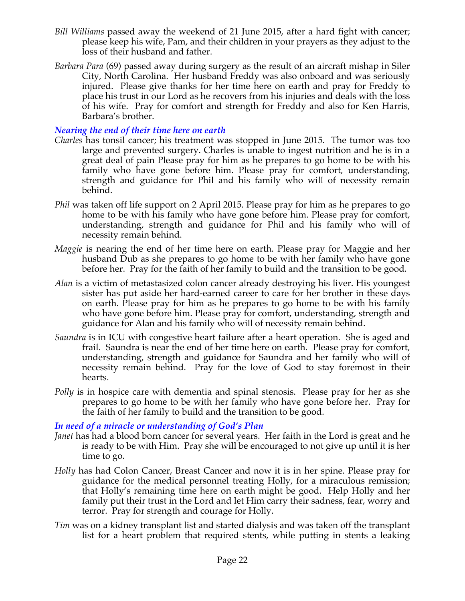- *Bill Williams* passed away the weekend of 21 June 2015, after a hard fight with cancer; please keep his wife, Pam, and their children in your prayers as they adjust to the loss of their husband and father.
- *Barbara Para* (69) passed away during surgery as the result of an aircraft mishap in Siler City, North Carolina. Her husband Freddy was also onboard and was seriously injured. Please give thanks for her time here on earth and pray for Freddy to place his trust in our Lord as he recovers from his injuries and deals with the loss of his wife. Pray for comfort and strength for Freddy and also for Ken Harris, Barbara's brother.

#### *Nearing the end of their time here on earth*

- *Charles* has tonsil cancer; his treatment was stopped in June 2015. The tumor was too large and prevented surgery. Charles is unable to ingest nutrition and he is in a great deal of pain Please pray for him as he prepares to go home to be with his family who have gone before him. Please pray for comfort, understanding, strength and guidance for Phil and his family who will of necessity remain behind.
- *Phil* was taken off life support on 2 April 2015. Please pray for him as he prepares to go home to be with his family who have gone before him. Please pray for comfort, understanding, strength and guidance for Phil and his family who will of necessity remain behind.
- *Maggie* is nearing the end of her time here on earth. Please pray for Maggie and her husband Dub as she prepares to go home to be with her family who have gone before her. Pray for the faith of her family to build and the transition to be good.
- *Alan* is a victim of metastasized colon cancer already destroying his liver. His youngest sister has put aside her hard-earned career to care for her brother in these days on earth. Please pray for him as he prepares to go home to be with his family who have gone before him. Please pray for comfort, understanding, strength and guidance for Alan and his family who will of necessity remain behind.
- *Saundra* is in ICU with congestive heart failure after a heart operation. She is aged and frail. Saundra is near the end of her time here on earth. Please pray for comfort, understanding, strength and guidance for Saundra and her family who will of necessity remain behind. Pray for the love of God to stay foremost in their hearts.
- *Polly* is in hospice care with dementia and spinal stenosis. Please pray for her as she prepares to go home to be with her family who have gone before her. Pray for the faith of her family to build and the transition to be good.

#### *In need of a miracle or understanding of God's Plan*

- *Janet* has had a blood born cancer for several years. Her faith in the Lord is great and he is ready to be with Him. Pray she will be encouraged to not give up until it is her time to go.
- *Holly* has had Colon Cancer, Breast Cancer and now it is in her spine. Please pray for guidance for the medical personnel treating Holly, for a miraculous remission; that Holly's remaining time here on earth might be good. Help Holly and her family put their trust in the Lord and let Him carry their sadness, fear, worry and terror. Pray for strength and courage for Holly.
- *Tim* was on a kidney transplant list and started dialysis and was taken off the transplant list for a heart problem that required stents, while putting in stents a leaking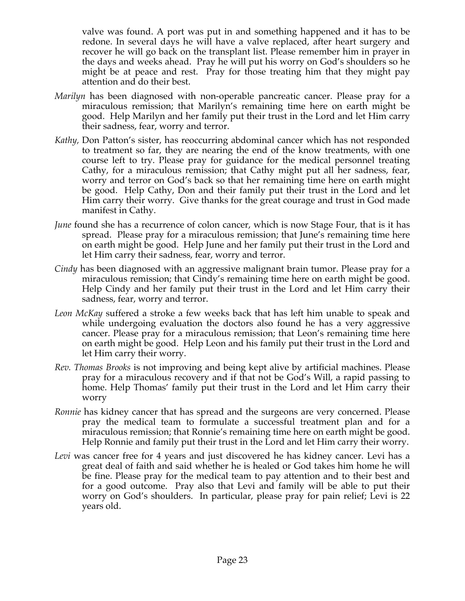valve was found. A port was put in and something happened and it has to be redone. In several days he will have a valve replaced, after heart surgery and recover he will go back on the transplant list. Please remember him in prayer in the days and weeks ahead. Pray he will put his worry on God's shoulders so he might be at peace and rest. Pray for those treating him that they might pay attention and do their best.

- *Marilyn* has been diagnosed with non-operable pancreatic cancer. Please pray for a miraculous remission; that Marilyn's remaining time here on earth might be good. Help Marilyn and her family put their trust in the Lord and let Him carry their sadness, fear, worry and terror.
- *Kathy,* Don Patton's sister, has reoccurring abdominal cancer which has not responded to treatment so far, they are nearing the end of the know treatments, with one course left to try. Please pray for guidance for the medical personnel treating Cathy, for a miraculous remission; that Cathy might put all her sadness, fear, worry and terror on God's back so that her remaining time here on earth might be good. Help Cathy, Don and their family put their trust in the Lord and let Him carry their worry. Give thanks for the great courage and trust in God made manifest in Cathy.
- *June* found she has a recurrence of colon cancer, which is now Stage Four, that is it has spread. Please pray for a miraculous remission; that June's remaining time here on earth might be good. Help June and her family put their trust in the Lord and let Him carry their sadness, fear, worry and terror.
- *Cindy* has been diagnosed with an aggressive malignant brain tumor. Please pray for a miraculous remission; that Cindy's remaining time here on earth might be good. Help Cindy and her family put their trust in the Lord and let Him carry their sadness, fear, worry and terror.
- *Leon McKay* suffered a stroke a few weeks back that has left him unable to speak and while undergoing evaluation the doctors also found he has a very aggressive cancer. Please pray for a miraculous remission; that Leon's remaining time here on earth might be good. Help Leon and his family put their trust in the Lord and let Him carry their worry.
- *Rev. Thomas Brooks* is not improving and being kept alive by artificial machines. Please pray for a miraculous recovery and if that not be God's Will, a rapid passing to home. Help Thomas' family put their trust in the Lord and let Him carry their worry
- *Ronnie* has kidney cancer that has spread and the surgeons are very concerned. Please pray the medical team to formulate a successful treatment plan and for a miraculous remission; that Ronnie's remaining time here on earth might be good. Help Ronnie and family put their trust in the Lord and let Him carry their worry.
- Levi was cancer free for 4 years and just discovered he has kidney cancer. Levi has a great deal of faith and said whether he is healed or God takes him home he will be fine. Please pray for the medical team to pay attention and to their best and for a good outcome. Pray also that Levi and family will be able to put their worry on God's shoulders. In particular, please pray for pain relief; Levi is 22 years old.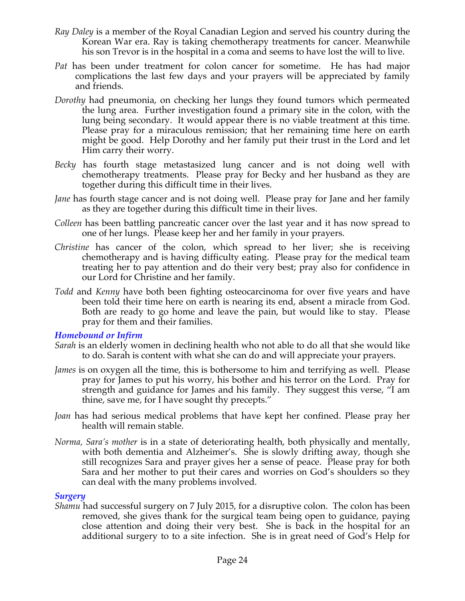- *Ray Daley* is a member of the Royal Canadian Legion and served his country during the Korean War era. Ray is taking chemotherapy treatments for cancer. Meanwhile his son Trevor is in the hospital in a coma and seems to have lost the will to live.
- *Pat* has been under treatment for colon cancer for sometime. He has had major complications the last few days and your prayers will be appreciated by family and friends.
- *Dorothy* had pneumonia, on checking her lungs they found tumors which permeated the lung area. Further investigation found a primary site in the colon, with the lung being secondary. It would appear there is no viable treatment at this time. Please pray for a miraculous remission; that her remaining time here on earth might be good. Help Dorothy and her family put their trust in the Lord and let Him carry their worry.
- *Becky* has fourth stage metastasized lung cancer and is not doing well with chemotherapy treatments. Please pray for Becky and her husband as they are together during this difficult time in their lives.
- *Jane* has fourth stage cancer and is not doing well. Please pray for Jane and her family as they are together during this difficult time in their lives.
- *Colleen* has been battling pancreatic cancer over the last year and it has now spread to one of her lungs. Please keep her and her family in your prayers.
- *Christine* has cancer of the colon, which spread to her liver; she is receiving chemotherapy and is having difficulty eating. Please pray for the medical team treating her to pay attention and do their very best; pray also for confidence in our Lord for Christine and her family.
- *Todd* and *Kenny* have both been fighting osteocarcinoma for over five years and have been told their time here on earth is nearing its end, absent a miracle from God. Both are ready to go home and leave the pain, but would like to stay. Please pray for them and their families.

#### *Homebound or Infirm*

- *Sarah* is an elderly women in declining health who not able to do all that she would like to do. Sarah is content with what she can do and will appreciate your prayers.
- *James* is on oxygen all the time, this is bothersome to him and terrifying as well. Please pray for James to put his worry, his bother and his terror on the Lord. Pray for strength and guidance for James and his family. They suggest this verse, "I am thine, save me, for I have sought thy precepts."
- *Joan* has had serious medical problems that have kept her confined. Please pray her health will remain stable.
- *Norma, Sara's mother* is in a state of deteriorating health, both physically and mentally, with both dementia and Alzheimer's. She is slowly drifting away, though she still recognizes Sara and prayer gives her a sense of peace. Please pray for both Sara and her mother to put their cares and worries on God's shoulders so they can deal with the many problems involved.

#### *Surgery*

*Shamu* had successful surgery on 7 July 2015, for a disruptive colon. The colon has been removed, she gives thank for the surgical team being open to guidance, paying close attention and doing their very best. She is back in the hospital for an additional surgery to to a site infection. She is in great need of God's Help for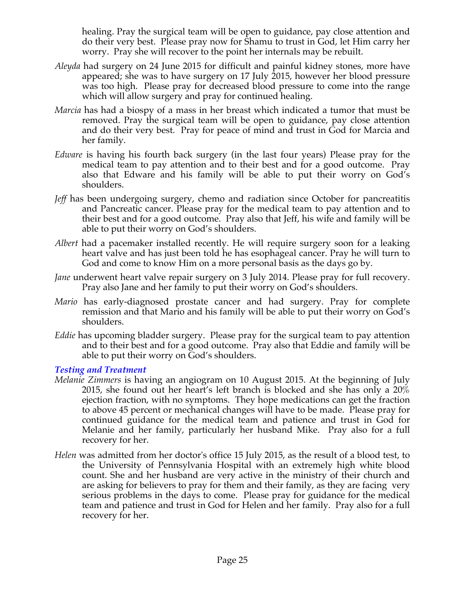healing. Pray the surgical team will be open to guidance, pay close attention and do their very best. Please pray now for Shamu to trust in God, let Him carry her worry. Pray she will recover to the point her internals may be rebuilt.

- *Aleyda* had surgery on 24 June 2015 for difficult and painful kidney stones, more have appeared; she was to have surgery on 17 July 2015, however her blood pressure was too high. Please pray for decreased blood pressure to come into the range which will allow surgery and pray for continued healing.
- *Marcia* has had a biospy of a mass in her breast which indicated a tumor that must be removed. Pray the surgical team will be open to guidance, pay close attention and do their very best. Pray for peace of mind and trust in God for Marcia and her family.
- *Edware* is having his fourth back surgery (in the last four years) Please pray for the medical team to pay attention and to their best and for a good outcome. Pray also that Edware and his family will be able to put their worry on God's shoulders.
- *Jeff* has been undergoing surgery, chemo and radiation since October for pancreatitis and Pancreatic cancer. Please pray for the medical team to pay attention and to their best and for a good outcome. Pray also that Jeff, his wife and family will be able to put their worry on God's shoulders.
- *Albert* had a pacemaker installed recently. He will require surgery soon for a leaking heart valve and has just been told he has esophageal cancer. Pray he will turn to God and come to know Him on a more personal basis as the days go by.
- *Jane* underwent heart valve repair surgery on 3 July 2014. Please pray for full recovery. Pray also Jane and her family to put their worry on God's shoulders.
- *Mario* has early-diagnosed prostate cancer and had surgery. Pray for complete remission and that Mario and his family will be able to put their worry on God's shoulders.
- *Eddie* has upcoming bladder surgery. Please pray for the surgical team to pay attention and to their best and for a good outcome. Pray also that Eddie and family will be able to put their worry on God's shoulders.

#### *Testing and Treatment*

- *Melanie Zimmers* is having an angiogram on 10 August 2015. At the beginning of July 2015, she found out her heart's left branch is blocked and she has only a 20% ejection fraction, with no symptoms. They hope medications can get the fraction to above 45 percent or mechanical changes will have to be made. Please pray for continued guidance for the medical team and patience and trust in God for Melanie and her family, particularly her husband Mike. Pray also for a full recovery for her.
- *Helen* was admitted from her doctor's office 15 July 2015, as the result of a blood test, to the University of Pennsylvania Hospital with an extremely high white blood count. She and her husband are very active in the ministry of their church and are asking for believers to pray for them and their family, as they are facing very serious problems in the days to come. Please pray for guidance for the medical team and patience and trust in God for Helen and her family. Pray also for a full recovery for her.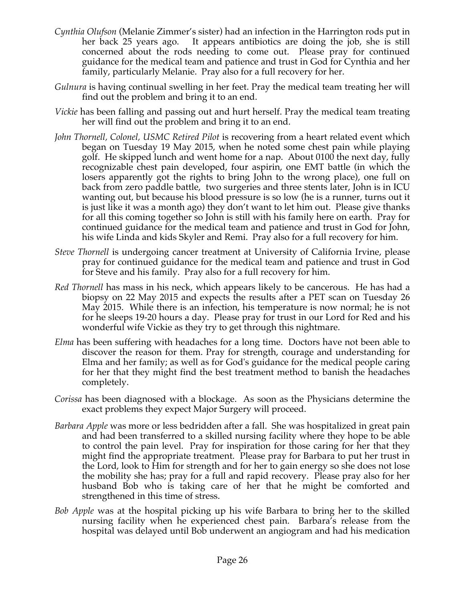- *Cynthia Olufson* (Melanie Zimmer's sister) had an infection in the Harrington rods put in her back 25 years ago. It appears antibiotics are doing the job, she is still concerned about the rods needing to come out. Please pray for continued guidance for the medical team and patience and trust in God for Cynthia and her family, particularly Melanie. Pray also for a full recovery for her.
- *Gulnura* is having continual swelling in her feet. Pray the medical team treating her will find out the problem and bring it to an end.
- *Vickie* has been falling and passing out and hurt herself. Pray the medical team treating her will find out the problem and bring it to an end.
- *John Thornell, Colonel, USMC Retired Pilot* is recovering from a heart related event which began on Tuesday 19 May 2015, when he noted some chest pain while playing golf. He skipped lunch and went home for a nap. About 0100 the next day, fully recognizable chest pain developed, four aspirin, one EMT battle (in which the losers apparently got the rights to bring John to the wrong place), one full on back from zero paddle battle, two surgeries and three stents later, John is in ICU wanting out, but because his blood pressure is so low (he is a runner, turns out it is just like it was a month ago) they don't want to let him out. Please give thanks for all this coming together so John is still with his family here on earth. Pray for continued guidance for the medical team and patience and trust in God for John, his wife Linda and kids Skyler and Remi. Pray also for a full recovery for him.
- *Steve Thornell* is undergoing cancer treatment at University of California Irvine, please pray for continued guidance for the medical team and patience and trust in God for Steve and his family. Pray also for a full recovery for him.
- *Red Thornell* has mass in his neck, which appears likely to be cancerous. He has had a biopsy on 22 May 2015 and expects the results after a PET scan on Tuesday 26 May 2015. While there is an infection, his temperature is now normal; he is not for he sleeps 19-20 hours a day. Please pray for trust in our Lord for Red and his wonderful wife Vickie as they try to get through this nightmare.
- *Elma* has been suffering with headaches for a long time. Doctors have not been able to discover the reason for them. Pray for strength, courage and understanding for Elma and her family; as well as for God's guidance for the medical people caring for her that they might find the best treatment method to banish the headaches completely.
- *Corissa* has been diagnosed with a blockage. As soon as the Physicians determine the exact problems they expect Major Surgery will proceed.
- *Barbara Apple* was more or less bedridden after a fall. She was hospitalized in great pain and had been transferred to a skilled nursing facility where they hope to be able to control the pain level. Pray for inspiration for those caring for her that they might find the appropriate treatment. Please pray for Barbara to put her trust in the Lord, look to Him for strength and for her to gain energy so she does not lose the mobility she has; pray for a full and rapid recovery. Please pray also for her husband Bob who is taking care of her that he might be comforted and strengthened in this time of stress.
- *Bob Apple* was at the hospital picking up his wife Barbara to bring her to the skilled nursing facility when he experienced chest pain. Barbara's release from the hospital was delayed until Bob underwent an angiogram and had his medication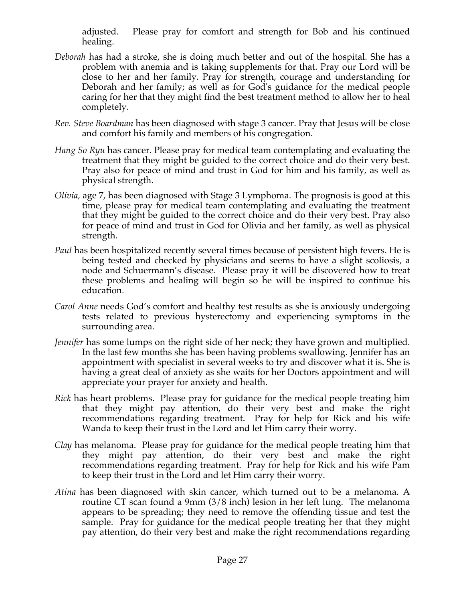adjusted. Please pray for comfort and strength for Bob and his continued healing.

- *Deborah* has had a stroke, she is doing much better and out of the hospital. She has a problem with anemia and is taking supplements for that. Pray our Lord will be close to her and her family. Pray for strength, courage and understanding for Deborah and her family; as well as for God's guidance for the medical people caring for her that they might find the best treatment method to allow her to heal completely.
- *Rev. Steve Boardman* has been diagnosed with stage 3 cancer. Pray that Jesus will be close and comfort his family and members of his congregation*.*
- *Hang So Ryu* has cancer. Please pray for medical team contemplating and evaluating the treatment that they might be guided to the correct choice and do their very best. Pray also for peace of mind and trust in God for him and his family, as well as physical strength.
- *Olivia,* age 7, has been diagnosed with Stage 3 Lymphoma. The prognosis is good at this time, please pray for medical team contemplating and evaluating the treatment that they might be guided to the correct choice and do their very best. Pray also for peace of mind and trust in God for Olivia and her family, as well as physical strength.
- *Paul* has been hospitalized recently several times because of persistent high fevers. He is being tested and checked by physicians and seems to have a slight scoliosis, a node and Schuermann's disease. Please pray it will be discovered how to treat these problems and healing will begin so he will be inspired to continue his education.
- *Carol Anne* needs God's comfort and healthy test results as she is anxiously undergoing tests related to previous hysterectomy and experiencing symptoms in the surrounding area.
- *Jennifer* has some lumps on the right side of her neck; they have grown and multiplied. In the last few months she has been having problems swallowing. Jennifer has an appointment with specialist in several weeks to try and discover what it is. She is having a great deal of anxiety as she waits for her Doctors appointment and will appreciate your prayer for anxiety and health.
- *Rick* has heart problems. Please pray for guidance for the medical people treating him that they might pay attention, do their very best and make the right recommendations regarding treatment. Pray for help for Rick and his wife Wanda to keep their trust in the Lord and let Him carry their worry.
- *Clay* has melanoma. Please pray for guidance for the medical people treating him that they might pay attention, do their very best and make the right recommendations regarding treatment. Pray for help for Rick and his wife Pam to keep their trust in the Lord and let Him carry their worry.
- *Atina* has been diagnosed with skin cancer, which turned out to be a melanoma. A routine CT scan found a 9mm (3/8 inch) lesion in her left lung. The melanoma appears to be spreading; they need to remove the offending tissue and test the sample. Pray for guidance for the medical people treating her that they might pay attention, do their very best and make the right recommendations regarding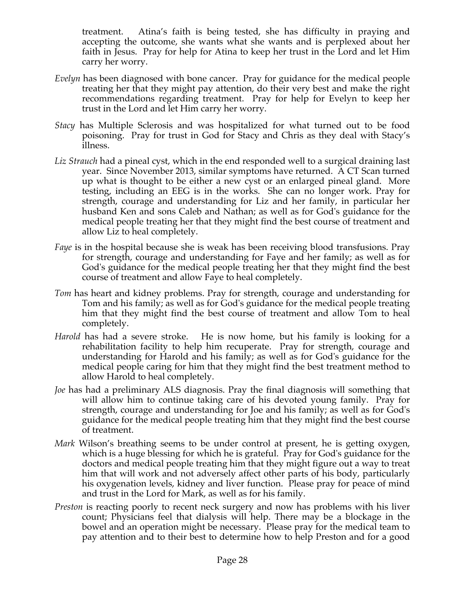treatment. Atina's faith is being tested, she has difficulty in praying and accepting the outcome, she wants what she wants and is perplexed about her faith in Jesus. Pray for help for Atina to keep her trust in the Lord and let Him carry her worry.

- *Evelyn* has been diagnosed with bone cancer. Pray for guidance for the medical people treating her that they might pay attention, do their very best and make the right recommendations regarding treatment. Pray for help for Evelyn to keep her trust in the Lord and let Him carry her worry.
- *Stacy* has Multiple Sclerosis and was hospitalized for what turned out to be food poisoning. Pray for trust in God for Stacy and Chris as they deal with Stacy's illness.
- *Liz Strauch* had a pineal cyst, which in the end responded well to a surgical draining last year. Since November 2013, similar symptoms have returned. A CT Scan turned up what is thought to be either a new cyst or an enlarged pineal gland. More testing, including an EEG is in the works. She can no longer work. Pray for strength, courage and understanding for Liz and her family, in particular her husband Ken and sons Caleb and Nathan; as well as for God's guidance for the medical people treating her that they might find the best course of treatment and allow Liz to heal completely.
- *Faye* is in the hospital because she is weak has been receiving blood transfusions. Pray for strength, courage and understanding for Faye and her family; as well as for God's guidance for the medical people treating her that they might find the best course of treatment and allow Faye to heal completely.
- *Tom* has heart and kidney problems. Pray for strength, courage and understanding for Tom and his family; as well as for God's guidance for the medical people treating him that they might find the best course of treatment and allow Tom to heal completely.
- *Harold* has had a severe stroke. He is now home, but his family is looking for a rehabilitation facility to help him recuperate. Pray for strength, courage and understanding for Harold and his family; as well as for God's guidance for the medical people caring for him that they might find the best treatment method to allow Harold to heal completely.
- *Joe* has had a preliminary ALS diagnosis. Pray the final diagnosis will something that will allow him to continue taking care of his devoted young family. Pray for strength, courage and understanding for Joe and his family; as well as for God's guidance for the medical people treating him that they might find the best course of treatment.
- *Mark* Wilson's breathing seems to be under control at present, he is getting oxygen, which is a huge blessing for which he is grateful. Pray for God's guidance for the doctors and medical people treating him that they might figure out a way to treat him that will work and not adversely affect other parts of his body, particularly his oxygenation levels, kidney and liver function. Please pray for peace of mind and trust in the Lord for Mark, as well as for his family.
- *Preston* is reacting poorly to recent neck surgery and now has problems with his liver count; Physicians feel that dialysis will help. There may be a blockage in the bowel and an operation might be necessary. Please pray for the medical team to pay attention and to their best to determine how to help Preston and for a good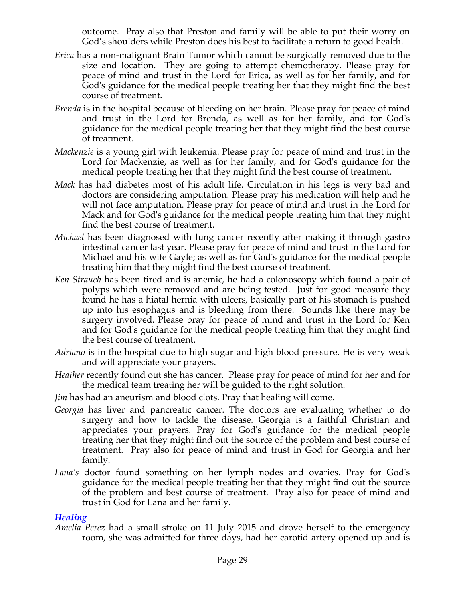outcome. Pray also that Preston and family will be able to put their worry on God's shoulders while Preston does his best to facilitate a return to good health.

- *Erica* has a non-malignant Brain Tumor which cannot be surgically removed due to the size and location. They are going to attempt chemotherapy. Please pray for peace of mind and trust in the Lord for Erica, as well as for her family, and for God's guidance for the medical people treating her that they might find the best course of treatment.
- *Brenda* is in the hospital because of bleeding on her brain. Please pray for peace of mind and trust in the Lord for Brenda, as well as for her family, and for God's guidance for the medical people treating her that they might find the best course of treatment.
- *Mackenzie* is a young girl with leukemia. Please pray for peace of mind and trust in the Lord for Mackenzie, as well as for her family, and for God's guidance for the medical people treating her that they might find the best course of treatment.
- *Mack* has had diabetes most of his adult life. Circulation in his legs is very bad and doctors are considering amputation. Please pray his medication will help and he will not face amputation. Please pray for peace of mind and trust in the Lord for Mack and for God's guidance for the medical people treating him that they might find the best course of treatment.
- *Michael* has been diagnosed with lung cancer recently after making it through gastro intestinal cancer last year. Please pray for peace of mind and trust in the Lord for Michael and his wife Gayle; as well as for God's guidance for the medical people treating him that they might find the best course of treatment.
- *Ken Strauch* has been tired and is anemic, he had a colonoscopy which found a pair of polyps which were removed and are being tested. Just for good measure they found he has a hiatal hernia with ulcers, basically part of his stomach is pushed up into his esophagus and is bleeding from there. Sounds like there may be surgery involved. Please pray for peace of mind and trust in the Lord for Ken and for God's guidance for the medical people treating him that they might find the best course of treatment.
- *Adriano* is in the hospital due to high sugar and high blood pressure. He is very weak and will appreciate your prayers.
- *Heather* recently found out she has cancer. Please pray for peace of mind for her and for the medical team treating her will be guided to the right solution.
- *Jim* has had an aneurism and blood clots. Pray that healing will come.
- *Georgia* has liver and pancreatic cancer. The doctors are evaluating whether to do surgery and how to tackle the disease. Georgia is a faithful Christian and appreciates your prayers. Pray for God's guidance for the medical people treating her that they might find out the source of the problem and best course of treatment. Pray also for peace of mind and trust in God for Georgia and her family.
- *Lana's* doctor found something on her lymph nodes and ovaries. Pray for God's guidance for the medical people treating her that they might find out the source of the problem and best course of treatment. Pray also for peace of mind and trust in God for Lana and her family.

#### *Healing*

*Amelia Perez* had a small stroke on 11 July 2015 and drove herself to the emergency room, she was admitted for three days, had her carotid artery opened up and is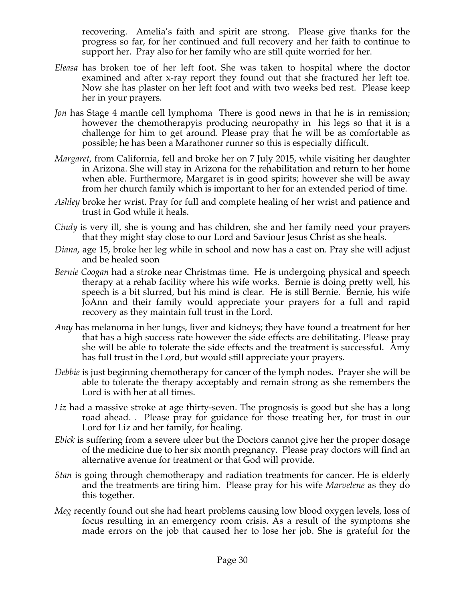recovering. Amelia's faith and spirit are strong. Please give thanks for the progress so far, for her continued and full recovery and her faith to continue to support her. Pray also for her family who are still quite worried for her.

- *Eleasa* has broken toe of her left foot. She was taken to hospital where the doctor examined and after x-ray report they found out that she fractured her left toe. Now she has plaster on her left foot and with two weeks bed rest. Please keep her in your prayers.
- *Jon* has Stage 4 mantle cell lymphoma There is good news in that he is in remission; however the chemotherapyis producing neuropathy in his legs so that it is a challenge for him to get around. Please pray that he will be as comfortable as possible; he has been a Marathoner runner so this is especially difficult.
- *Margaret,* from California, fell and broke her on 7 July 2015, while visiting her daughter in Arizona. She will stay in Arizona for the rehabilitation and return to her home when able. Furthermore, Margaret is in good spirits; however she will be away from her church family which is important to her for an extended period of time.
- *Ashley* broke her wrist. Pray for full and complete healing of her wrist and patience and trust in God while it heals.
- *Cindy* is very ill, she is young and has children, she and her family need your prayers that they might stay close to our Lord and Saviour Jesus Christ as she heals.
- *Diana*, age 15, broke her leg while in school and now has a cast on. Pray she will adjust and be healed soon
- *Bernie Coogan* had a stroke near Christmas time. He is undergoing physical and speech therapy at a rehab facility where his wife works. Bernie is doing pretty well, his speech is a bit slurred, but his mind is clear. He is still Bernie. Bernie, his wife JoAnn and their family would appreciate your prayers for a full and rapid recovery as they maintain full trust in the Lord.
- *Amy* has melanoma in her lungs, liver and kidneys; they have found a treatment for her that has a high success rate however the side effects are debilitating. Please pray she will be able to tolerate the side effects and the treatment is successful. Amy has full trust in the Lord, but would still appreciate your prayers.
- *Debbie* is just beginning chemotherapy for cancer of the lymph nodes. Prayer she will be able to tolerate the therapy acceptably and remain strong as she remembers the Lord is with her at all times.
- Liz had a massive stroke at age thirty-seven. The prognosis is good but she has a long road ahead. . Please pray for guidance for those treating her, for trust in our Lord for Liz and her family, for healing.
- *Ebick* is suffering from a severe ulcer but the Doctors cannot give her the proper dosage of the medicine due to her six month pregnancy. Please pray doctors will find an alternative avenue for treatment or that God will provide.
- *Stan* is going through chemotherapy and radiation treatments for cancer. He is elderly and the treatments are tiring him. Please pray for his wife *Marvelene* as they do this together.
- *Meg* recently found out she had heart problems causing low blood oxygen levels, loss of focus resulting in an emergency room crisis. As a result of the symptoms she made errors on the job that caused her to lose her job. She is grateful for the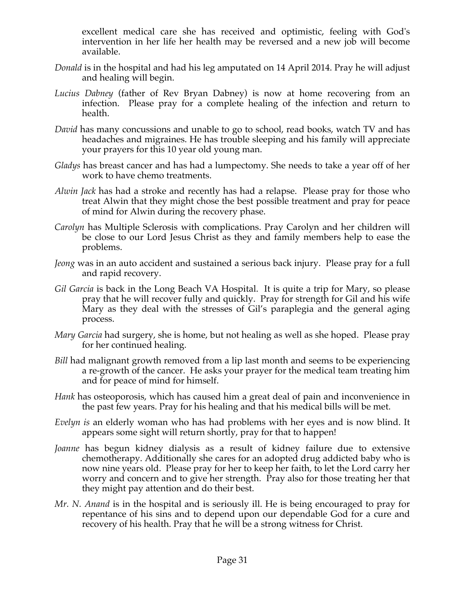excellent medical care she has received and optimistic, feeling with God's intervention in her life her health may be reversed and a new job will become available.

- *Donald* is in the hospital and had his leg amputated on 14 April 2014. Pray he will adjust and healing will begin.
- *Lucius Dabney* (father of Rev Bryan Dabney) is now at home recovering from an infection. Please pray for a complete healing of the infection and return to health.
- *David* has many concussions and unable to go to school, read books, watch TV and has headaches and migraines. He has trouble sleeping and his family will appreciate your prayers for this 10 year old young man.
- *Gladys* has breast cancer and has had a lumpectomy. She needs to take a year off of her work to have chemo treatments.
- *Alwin Jack* has had a stroke and recently has had a relapse. Please pray for those who treat Alwin that they might chose the best possible treatment and pray for peace of mind for Alwin during the recovery phase.
- *Carolyn* has Multiple Sclerosis with complications. Pray Carolyn and her children will be close to our Lord Jesus Christ as they and family members help to ease the problems.
- *Jeong* was in an auto accident and sustained a serious back injury. Please pray for a full and rapid recovery.
- *Gil Garcia* is back in the Long Beach VA Hospital. It is quite a trip for Mary, so please pray that he will recover fully and quickly. Pray for strength for Gil and his wife Mary as they deal with the stresses of Gil's paraplegia and the general aging process.
- *Mary Garcia* had surgery, she is home, but not healing as well as she hoped. Please pray for her continued healing.
- *Bill* had malignant growth removed from a lip last month and seems to be experiencing a re-growth of the cancer. He asks your prayer for the medical team treating him and for peace of mind for himself.
- *Hank* has osteoporosis, which has caused him a great deal of pain and inconvenience in the past few years. Pray for his healing and that his medical bills will be met.
- *Evelyn is* an elderly woman who has had problems with her eyes and is now blind. It appears some sight will return shortly, pray for that to happen!
- *Joanne* has begun kidney dialysis as a result of kidney failure due to extensive chemotherapy. Additionally she cares for an adopted drug addicted baby who is now nine years old. Please pray for her to keep her faith, to let the Lord carry her worry and concern and to give her strength. Pray also for those treating her that they might pay attention and do their best.
- *Mr. N. Anand* is in the hospital and is seriously ill. He is being encouraged to pray for repentance of his sins and to depend upon our dependable God for a cure and recovery of his health. Pray that he will be a strong witness for Christ.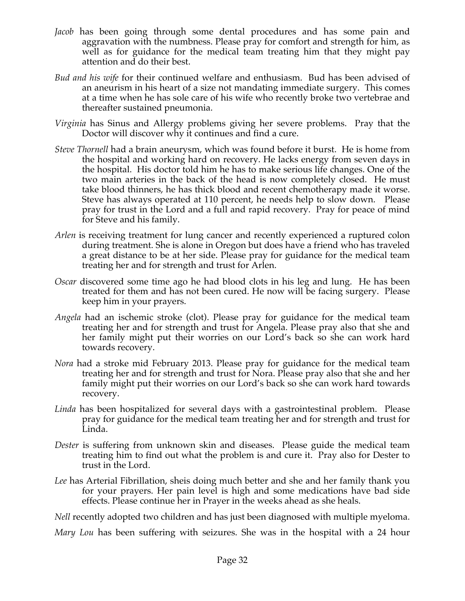- *Jacob* has been going through some dental procedures and has some pain and aggravation with the numbness. Please pray for comfort and strength for him, as well as for guidance for the medical team treating him that they might pay attention and do their best.
- *Bud and his wife* for their continued welfare and enthusiasm. Bud has been advised of an aneurism in his heart of a size not mandating immediate surgery. This comes at a time when he has sole care of his wife who recently broke two vertebrae and thereafter sustained pneumonia.
- *Virginia* has Sinus and Allergy problems giving her severe problems. Pray that the Doctor will discover why it continues and find a cure.
- *Steve Thornell* had a brain aneurysm, which was found before it burst. He is home from the hospital and working hard on recovery. He lacks energy from seven days in the hospital. His doctor told him he has to make serious life changes. One of the two main arteries in the back of the head is now completely closed. He must take blood thinners, he has thick blood and recent chemotherapy made it worse. Steve has always operated at 110 percent, he needs help to slow down. Please pray for trust in the Lord and a full and rapid recovery. Pray for peace of mind for Steve and his family.
- *Arlen* is receiving treatment for lung cancer and recently experienced a ruptured colon during treatment. She is alone in Oregon but does have a friend who has traveled a great distance to be at her side. Please pray for guidance for the medical team treating her and for strength and trust for Arlen.
- *Oscar* discovered some time ago he had blood clots in his leg and lung. He has been treated for them and has not been cured. He now will be facing surgery. Please keep him in your prayers.
- *Angela* had an ischemic stroke (clot). Please pray for guidance for the medical team treating her and for strength and trust for Angela. Please pray also that she and her family might put their worries on our Lord's back so she can work hard towards recovery.
- *Nora* had a stroke mid February 2013. Please pray for guidance for the medical team treating her and for strength and trust for Nora. Please pray also that she and her family might put their worries on our Lord's back so she can work hard towards recovery.
- *Linda* has been hospitalized for several days with a gastrointestinal problem. Please pray for guidance for the medical team treating her and for strength and trust for Linda.
- *Dester* is suffering from unknown skin and diseases. Please guide the medical team treating him to find out what the problem is and cure it. Pray also for Dester to trust in the Lord.
- *Lee* has Arterial Fibrillation, sheis doing much better and she and her family thank you for your prayers. Her pain level is high and some medications have bad side effects. Please continue her in Prayer in the weeks ahead as she heals.

*Nell* recently adopted two children and has just been diagnosed with multiple myeloma.

*Mary Lou* has been suffering with seizures. She was in the hospital with a 24 hour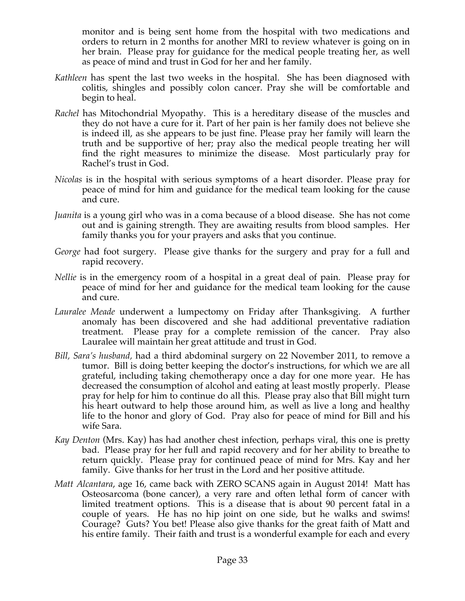monitor and is being sent home from the hospital with two medications and orders to return in 2 months for another MRI to review whatever is going on in her brain. Please pray for guidance for the medical people treating her, as well as peace of mind and trust in God for her and her family.

- *Kathleen* has spent the last two weeks in the hospital. She has been diagnosed with colitis, shingles and possibly colon cancer. Pray she will be comfortable and begin to heal.
- *Rachel* has Mitochondrial Myopathy. This is a hereditary disease of the muscles and they do not have a cure for it. Part of her pain is her family does not believe she is indeed ill, as she appears to be just fine. Please pray her family will learn the truth and be supportive of her; pray also the medical people treating her will find the right measures to minimize the disease. Most particularly pray for Rachel's trust in God.
- *Nicolas* is in the hospital with serious symptoms of a heart disorder. Please pray for peace of mind for him and guidance for the medical team looking for the cause and cure.
- *Juanita* is a young girl who was in a coma because of a blood disease. She has not come out and is gaining strength. They are awaiting results from blood samples. Her family thanks you for your prayers and asks that you continue.
- *George* had foot surgery. Please give thanks for the surgery and pray for a full and rapid recovery.
- *Nellie* is in the emergency room of a hospital in a great deal of pain. Please pray for peace of mind for her and guidance for the medical team looking for the cause and cure.
- *Lauralee Meade* underwent a lumpectomy on Friday after Thanksgiving. A further anomaly has been discovered and she had additional preventative radiation treatment. Please pray for a complete remission of the cancer. Pray also Lauralee will maintain her great attitude and trust in God.
- *Bill, Sara's husband,* had a third abdominal surgery on 22 November 2011, to remove a tumor. Bill is doing better keeping the doctor's instructions, for which we are all grateful, including taking chemotherapy once a day for one more year. He has decreased the consumption of alcohol and eating at least mostly properly. Please pray for help for him to continue do all this. Please pray also that Bill might turn his heart outward to help those around him, as well as live a long and healthy life to the honor and glory of God. Pray also for peace of mind for Bill and his wife Sara.
- *Kay Denton* (Mrs. Kay) has had another chest infection, perhaps viral, this one is pretty bad. Please pray for her full and rapid recovery and for her ability to breathe to return quickly. Please pray for continued peace of mind for Mrs. Kay and her family. Give thanks for her trust in the Lord and her positive attitude.
- *Matt Alcantara*, age 16, came back with ZERO SCANS again in August 2014! Matt has Osteosarcoma (bone cancer), a very rare and often lethal form of cancer with limited treatment options. This is a disease that is about 90 percent fatal in a couple of years. He has no hip joint on one side, but he walks and swims! Courage? Guts? You bet! Please also give thanks for the great faith of Matt and his entire family. Their faith and trust is a wonderful example for each and every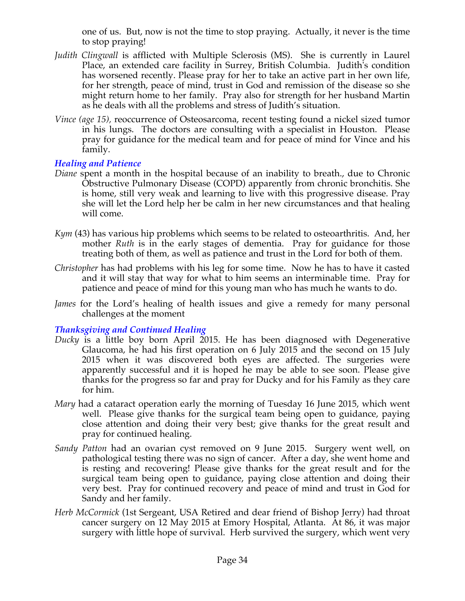one of us. But, now is not the time to stop praying. Actually, it never is the time to stop praying!

- *Judith Clingwall* is afflicted with Multiple Sclerosis (MS). She is currently in Laurel Place, an extended care facility in Surrey, British Columbia. Judith's condition has worsened recently. Please pray for her to take an active part in her own life, for her strength, peace of mind, trust in God and remission of the disease so she might return home to her family. Pray also for strength for her husband Martin as he deals with all the problems and stress of Judith's situation.
- *Vince (age 15),* reoccurrence of Osteosarcoma, recent testing found a nickel sized tumor in his lungs. The doctors are consulting with a specialist in Houston. Please pray for guidance for the medical team and for peace of mind for Vince and his family.

# *Healing and Patience*

- *Diane* spent a month in the hospital because of an inability to breath., due to Chronic Obstructive Pulmonary Disease (COPD) apparently from chronic bronchitis. She is home, still very weak and learning to live with this progressive disease. Pray she will let the Lord help her be calm in her new circumstances and that healing will come.
- *Kym* (43) has various hip problems which seems to be related to osteoarthritis. And, her mother *Ruth* is in the early stages of dementia. Pray for guidance for those treating both of them, as well as patience and trust in the Lord for both of them.
- *Christopher* has had problems with his leg for some time. Now he has to have it casted and it will stay that way for what to him seems an interminable time. Pray for patience and peace of mind for this young man who has much he wants to do.
- *James* for the Lord's healing of health issues and give a remedy for many personal challenges at the moment

*Thanksgiving and Continued Healing*

- *Ducky* is a little boy born April 2015. He has been diagnosed with Degenerative Glaucoma, he had his first operation on 6 July 2015 and the second on 15 July 2015 when it was discovered both eyes are affected. The surgeries were apparently successful and it is hoped he may be able to see soon. Please give thanks for the progress so far and pray for Ducky and for his Family as they care for him.
- *Mary* had a cataract operation early the morning of Tuesday 16 June 2015, which went well. Please give thanks for the surgical team being open to guidance, paying close attention and doing their very best; give thanks for the great result and pray for continued healing.
- *Sandy Patton* had an ovarian cyst removed on 9 June 2015. Surgery went well, on pathological testing there was no sign of cancer. After a day, she went home and is resting and recovering! Please give thanks for the great result and for the surgical team being open to guidance, paying close attention and doing their very best. Pray for continued recovery and peace of mind and trust in God for Sandy and her family.
- *Herb McCormick* (1st Sergeant, USA Retired and dear friend of Bishop Jerry) had throat cancer surgery on 12 May 2015 at Emory Hospital, Atlanta. At 86, it was major surgery with little hope of survival. Herb survived the surgery, which went very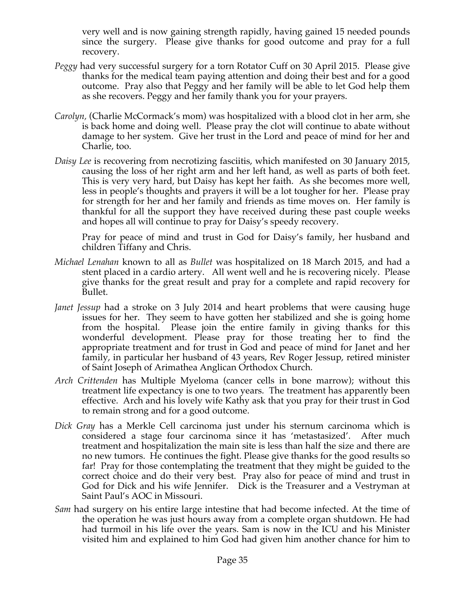very well and is now gaining strength rapidly, having gained 15 needed pounds since the surgery. Please give thanks for good outcome and pray for a full recovery.

- *Peggy* had very successful surgery for a torn Rotator Cuff on 30 April 2015. Please give thanks for the medical team paying attention and doing their best and for a good outcome. Pray also that Peggy and her family will be able to let God help them as she recovers. Peggy and her family thank you for your prayers.
- *Carolyn,* (Charlie McCormack's mom) was hospitalized with a blood clot in her arm, she is back home and doing well. Please pray the clot will continue to abate without damage to her system. Give her trust in the Lord and peace of mind for her and Charlie, too.
- *Daisy Lee* is recovering from necrotizing fasciitis, which manifested on 30 January 2015, causing the loss of her right arm and her left hand, as well as parts of both feet. This is very very hard, but Daisy has kept her faith. As she becomes more well, less in people's thoughts and prayers it will be a lot tougher for her. Please pray for strength for her and her family and friends as time moves on. Her family is thankful for all the support they have received during these past couple weeks and hopes all will continue to pray for Daisy's speedy recovery.

Pray for peace of mind and trust in God for Daisy's family, her husband and children Tiffany and Chris.

- *Michael Lenahan* known to all as *Bullet* was hospitalized on 18 March 2015, and had a stent placed in a cardio artery. All went well and he is recovering nicely. Please give thanks for the great result and pray for a complete and rapid recovery for Bullet.
- *Janet Jessup* had a stroke on 3 July 2014 and heart problems that were causing huge issues for her. They seem to have gotten her stabilized and she is going home from the hospital. Please join the entire family in giving thanks for this wonderful development. Please pray for those treating her to find the appropriate treatment and for trust in God and peace of mind for Janet and her family, in particular her husband of 43 years, Rev Roger Jessup, retired minister of Saint Joseph of Arimathea Anglican Orthodox Church.
- *Arch Crittenden* has Multiple Myeloma (cancer cells in bone marrow); without this treatment life expectancy is one to two years. The treatment has apparently been effective. Arch and his lovely wife Kathy ask that you pray for their trust in God to remain strong and for a good outcome.
- *Dick Gray* has a Merkle Cell carcinoma just under his sternum carcinoma which is considered a stage four carcinoma since it has 'metastasized'. After much treatment and hospitalization the main site is less than half the size and there are no new tumors. He continues the fight. Please give thanks for the good results so far! Pray for those contemplating the treatment that they might be guided to the correct choice and do their very best. Pray also for peace of mind and trust in God for Dick and his wife Jennifer. Dick is the Treasurer and a Vestryman at Saint Paul's AOC in Missouri.
- *Sam* had surgery on his entire large intestine that had become infected. At the time of the operation he was just hours away from a complete organ shutdown. He had had turmoil in his life over the years. Sam is now in the ICU and his Minister visited him and explained to him God had given him another chance for him to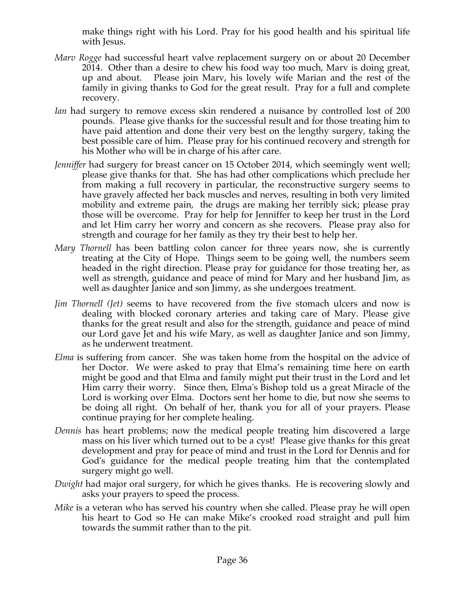make things right with his Lord. Pray for his good health and his spiritual life with Jesus.

- *Marv Rogge* had successful heart valve replacement surgery on or about 20 December 2014. Other than a desire to chew his food way too much, Marv is doing great, up and about. Please join Marv, his lovely wife Marian and the rest of the family in giving thanks to God for the great result. Pray for a full and complete recovery.
- *Ian* had surgery to remove excess skin rendered a nuisance by controlled lost of 200 pounds. Please give thanks for the successful result and for those treating him to have paid attention and done their very best on the lengthy surgery, taking the best possible care of him. Please pray for his continued recovery and strength for his Mother who will be in charge of his after care.
- *Jenniffer* had surgery for breast cancer on 15 October 2014, which seemingly went well; please give thanks for that. She has had other complications which preclude her from making a full recovery in particular, the reconstructive surgery seems to have gravely affected her back muscles and nerves, resulting in both very limited mobility and extreme pain, the drugs are making her terribly sick; please pray those will be overcome. Pray for help for Jenniffer to keep her trust in the Lord and let Him carry her worry and concern as she recovers. Please pray also for strength and courage for her family as they try their best to help her.
- *Mary Thornell* has been battling colon cancer for three years now, she is currently treating at the City of Hope. Things seem to be going well, the numbers seem headed in the right direction. Please pray for guidance for those treating her, as well as strength, guidance and peace of mind for Mary and her husband Jim, as well as daughter Janice and son Jimmy, as she undergoes treatment.
- *Jim Thornell (Jet)* seems to have recovered from the five stomach ulcers and now is dealing with blocked coronary arteries and taking care of Mary. Please give thanks for the great result and also for the strength, guidance and peace of mind our Lord gave Jet and his wife Mary, as well as daughter Janice and son Jimmy, as he underwent treatment.
- *Elma* is suffering from cancer. She was taken home from the hospital on the advice of her Doctor. We were asked to pray that Elma's remaining time here on earth might be good and that Elma and family might put their trust in the Lord and let Him carry their worry. Since then, Elma's Bishop told us a great Miracle of the Lord is working over Elma. Doctors sent her home to die, but now she seems to be doing all right. On behalf of her, thank you for all of your prayers. Please continue praying for her complete healing.
- *Dennis* has heart problems; now the medical people treating him discovered a large mass on his liver which turned out to be a cyst! Please give thanks for this great development and pray for peace of mind and trust in the Lord for Dennis and for God's guidance for the medical people treating him that the contemplated surgery might go well.
- *Dwight* had major oral surgery, for which he gives thanks. He is recovering slowly and asks your prayers to speed the process.
- *Mike* is a veteran who has served his country when she called. Please pray he will open his heart to God so He can make Mike's crooked road straight and pull him towards the summit rather than to the pit.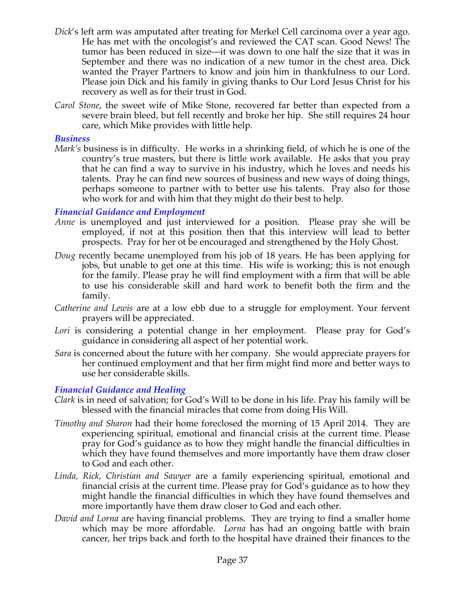- *Dick*'s left arm was amputated after treating for Merkel Cell carcinoma over a year ago. He has met with the oncologist's and reviewed the CAT scan. Good News! The tumor has been reduced in size—it was down to one half the size that it was in September and there was no indication of a new tumor in the chest area. Dick wanted the Prayer Partners to know and join him in thankfulness to our Lord. Please join Dick and his family in giving thanks to Our Lord Jesus Christ for his recovery as well as for their trust in God.
- *Carol Stone*, the sweet wife of Mike Stone, recovered far better than expected from a severe brain bleed, but fell recently and broke her hip. She still requires 24 hour care, which Mike provides with little help.

#### *Business*

*Mark's* business is in difficulty. He works in a shrinking field, of which he is one of the country's true masters, but there is little work available. He asks that you pray that he can find a way to survive in his industry, which he loves and needs his talents. Pray he can find new sources of business and new ways of doing things, perhaps someone to partner with to better use his talents. Pray also for those who work for and with him that they might do their best to help.

#### *Financial Guidance and Employment*

- *Anne* is unemployed and just interviewed for a position. Please pray she will be employed, if not at this position then that this interview will lead to better prospects. Pray for her ot be encouraged and strengthened by the Holy Ghost.
- *Doug* recently became unemployed from his job of 18 years. He has been applying for jobs, but unable to get one at this time. His wife is working; this is not enough for the family. Please pray he will find employment with a firm that will be able to use his considerable skill and hard work to benefit both the firm and the family.
- *Catherine and Lewis* are at a low ebb due to a struggle for employment. Your fervent prayers will be appreciated.
- Lori is considering a potential change in her employment. Please pray for God's guidance in considering all aspect of her potential work.
- *Sara* is concerned about the future with her company. She would appreciate prayers for her continued employment and that her firm might find more and better ways to use her considerable skills.

#### *Financial Guidance and Healing*

- *Clark* is in need of salvation; for God's Will to be done in his life. Pray his family will be blessed with the financial miracles that come from doing His Will.
- *Timothy and Sharon* had their home foreclosed the morning of 15 April 2014. They are experiencing spiritual, emotional and financial crisis at the current time. Please pray for God's guidance as to how they might handle the financial difficulties in which they have found themselves and more importantly have them draw closer to God and each other.
- *Linda, Rick, Christian and Sawyer* are a family experiencing spiritual, emotional and financial crisis at the current time. Please pray for God's guidance as to how they might handle the financial difficulties in which they have found themselves and more importantly have them draw closer to God and each other.
- *David and Lorna* are having financial problems. They are trying to find a smaller home which may be more affordable. *Lorna* has had an ongoing battle with brain cancer, her trips back and forth to the hospital have drained their finances to the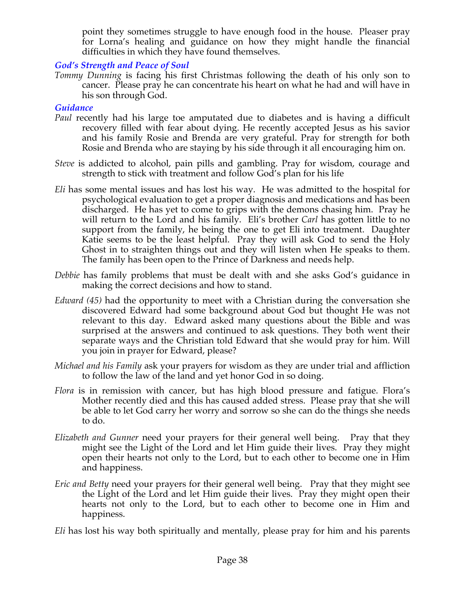point they sometimes struggle to have enough food in the house. Pleaser pray for Lorna's healing and guidance on how they might handle the financial difficulties in which they have found themselves.

### *God's Strength and Peace of Soul*

*Tommy Dunning* is facing his first Christmas following the death of his only son to cancer. Please pray he can concentrate his heart on what he had and will have in his son through God.

#### *Guidance*

- *Paul* recently had his large toe amputated due to diabetes and is having a difficult recovery filled with fear about dying. He recently accepted Jesus as his savior and his family Rosie and Brenda are very grateful. Pray for strength for both Rosie and Brenda who are staying by his side through it all encouraging him on.
- *Steve* is addicted to alcohol, pain pills and gambling. Pray for wisdom, courage and strength to stick with treatment and follow God's plan for his life
- *Eli* has some mental issues and has lost his way. He was admitted to the hospital for psychological evaluation to get a proper diagnosis and medications and has been discharged. He has yet to come to grips with the demons chasing him. Pray he will return to the Lord and his family. Eli's brother *Carl* has gotten little to no support from the family, he being the one to get Eli into treatment. Daughter Katie seems to be the least helpful. Pray they will ask God to send the Holy Ghost in to straighten things out and they will listen when He speaks to them. The family has been open to the Prince of Darkness and needs help.
- *Debbie* has family problems that must be dealt with and she asks God's guidance in making the correct decisions and how to stand.
- *Edward (45)* had the opportunity to meet with a Christian during the conversation she discovered Edward had some background about God but thought He was not relevant to this day. Edward asked many questions about the Bible and was surprised at the answers and continued to ask questions. They both went their separate ways and the Christian told Edward that she would pray for him. Will you join in prayer for Edward, please?
- *Michael and his Family* ask your prayers for wisdom as they are under trial and affliction to follow the law of the land and yet honor God in so doing.
- *Flora* is in remission with cancer, but has high blood pressure and fatigue. Flora's Mother recently died and this has caused added stress. Please pray that she will be able to let God carry her worry and sorrow so she can do the things she needs to do.
- *Elizabeth and Gunner* need your prayers for their general well being. Pray that they might see the Light of the Lord and let Him guide their lives. Pray they might open their hearts not only to the Lord, but to each other to become one in Him and happiness.
- *Eric and Betty* need your prayers for their general well being. Pray that they might see the Light of the Lord and let Him guide their lives. Pray they might open their hearts not only to the Lord, but to each other to become one in Him and happiness.

*Eli* has lost his way both spiritually and mentally, please pray for him and his parents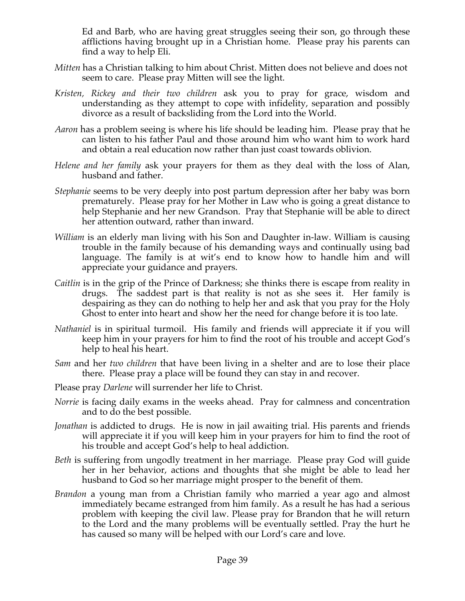Ed and Barb, who are having great struggles seeing their son, go through these afflictions having brought up in a Christian home. Please pray his parents can find a way to help Eli.

- *Mitten* has a Christian talking to him about Christ. Mitten does not believe and does not seem to care. Please pray Mitten will see the light.
- *Kristen, Rickey and their two children* ask you to pray for grace, wisdom and understanding as they attempt to cope with infidelity, separation and possibly divorce as a result of backsliding from the Lord into the World.
- *Aaron* has a problem seeing is where his life should be leading him. Please pray that he can listen to his father Paul and those around him who want him to work hard and obtain a real education now rather than just coast towards oblivion.
- *Helene and her family* ask your prayers for them as they deal with the loss of Alan, husband and father.
- *Stephanie* seems to be very deeply into post partum depression after her baby was born prematurely. Please pray for her Mother in Law who is going a great distance to help Stephanie and her new Grandson. Pray that Stephanie will be able to direct her attention outward, rather than inward.
- *William* is an elderly man living with his Son and Daughter in-law. William is causing trouble in the family because of his demanding ways and continually using bad language. The family is at wit's end to know how to handle him and will appreciate your guidance and prayers.
- *Caitlin* is in the grip of the Prince of Darkness; she thinks there is escape from reality in drugs. The saddest part is that reality is not as she sees it. Her family is despairing as they can do nothing to help her and ask that you pray for the Holy Ghost to enter into heart and show her the need for change before it is too late.
- *Nathaniel* is in spiritual turmoil. His family and friends will appreciate it if you will keep him in your prayers for him to find the root of his trouble and accept God's help to heal his heart.
- *Sam* and her *two children* that have been living in a shelter and are to lose their place there. Please pray a place will be found they can stay in and recover.
- Please pray *Darlene* will surrender her life to Christ.
- *Norrie* is facing daily exams in the weeks ahead. Pray for calmness and concentration and to do the best possible.
- *Jonathan* is addicted to drugs. He is now in jail awaiting trial. His parents and friends will appreciate it if you will keep him in your prayers for him to find the root of his trouble and accept God's help to heal addiction.
- *Beth* is suffering from ungodly treatment in her marriage. Please pray God will guide her in her behavior, actions and thoughts that she might be able to lead her husband to God so her marriage might prosper to the benefit of them.
- *Brandon* a young man from a Christian family who married a year ago and almost immediately became estranged from him family. As a result he has had a serious problem with keeping the civil law. Please pray for Brandon that he will return to the Lord and the many problems will be eventually settled. Pray the hurt he has caused so many will be helped with our Lord's care and love.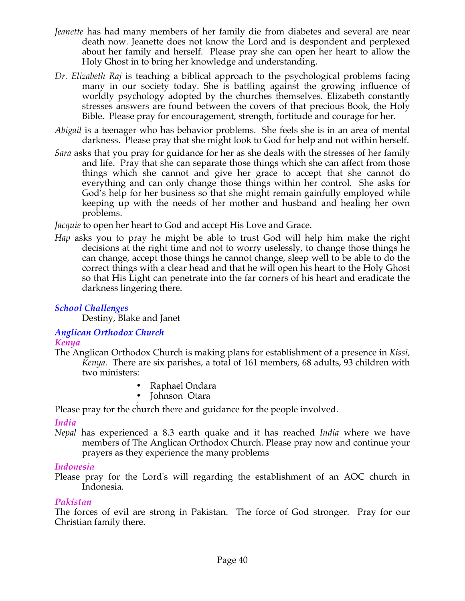- *Jeanette* has had many members of her family die from diabetes and several are near death now. Jeanette does not know the Lord and is despondent and perplexed about her family and herself. Please pray she can open her heart to allow the Holy Ghost in to bring her knowledge and understanding.
- *Dr. Elizabeth Raj* is teaching a biblical approach to the psychological problems facing many in our society today. She is battling against the growing influence of worldly psychology adopted by the churches themselves. Elizabeth constantly stresses answers are found between the covers of that precious Book, the Holy Bible. Please pray for encouragement, strength, fortitude and courage for her.
- *Abigail* is a teenager who has behavior problems. She feels she is in an area of mental darkness. Please pray that she might look to God for help and not within herself.
- *Sara* asks that you pray for guidance for her as she deals with the stresses of her family and life. Pray that she can separate those things which she can affect from those things which she cannot and give her grace to accept that she cannot do everything and can only change those things within her control. She asks for God's help for her business so that she might remain gainfully employed while keeping up with the needs of her mother and husband and healing her own problems.

*Jacquie* to open her heart to God and accept His Love and Grace.

*Hap* asks you to pray he might be able to trust God will help him make the right decisions at the right time and not to worry uselessly, to change those things he can change, accept those things he cannot change, sleep well to be able to do the correct things with a clear head and that he will open his heart to the Holy Ghost so that His Light can penetrate into the far corners of his heart and eradicate the darkness lingering there.

# *School Challenges*

Destiny, Blake and Janet

# *Anglican Orthodox Church*

#### *Kenya*

- The Anglican Orthodox Church is making plans for establishment of a presence in *Kissi, Kenya.* There are six parishes, a total of 161 members, 68 adults, 93 children with two ministers:
	- Raphael Ondara
	- Johnson Otara

Please pray for the church there and guidance for the people involved.

#### *India*

*Nepal* has experienced a 8.3 earth quake and it has reached *India* where we have members of The Anglican Orthodox Church. Please pray now and continue your prayers as they experience the many problems

#### *Indonesia*

Please pray for the Lord's will regarding the establishment of an AOC church in Indonesia.

# *Pakistan*

The forces of evil are strong in Pakistan. The force of God stronger. Pray for our Christian family there.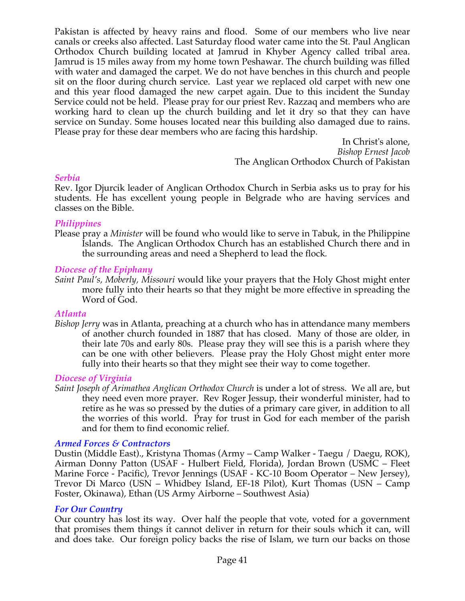Pakistan is affected by heavy rains and flood. Some of our members who live near canals or creeks also affected. Last Saturday flood water came into the St. Paul Anglican Orthodox Church building located at Jamrud in Khyber Agency called tribal area. Jamrud is 15 miles away from my home town Peshawar. The church building was filled with water and damaged the carpet. We do not have benches in this church and people sit on the floor during church service. Last year we replaced old carpet with new one and this year flood damaged the new carpet again. Due to this incident the Sunday Service could not be held. Please pray for our priest Rev. Razzaq and members who are working hard to clean up the church building and let it dry so that they can have service on Sunday. Some houses located near this building also damaged due to rains. Please pray for these dear members who are facing this hardship.

> In Christ's alone, *Bishop Ernest Jacob* The Anglican Orthodox Church of Pakistan

#### *Serbia*

Rev. Igor Djurcik leader of Anglican Orthodox Church in Serbia asks us to pray for his students. He has excellent young people in Belgrade who are having services and classes on the Bible.

#### *Philippines*

Please pray a *Minister* will be found who would like to serve in Tabuk, in the Philippine Islands. The Anglican Orthodox Church has an established Church there and in the surrounding areas and need a Shepherd to lead the flock*.*

#### *Diocese of the Epiphany*

*Saint Paul's, Moberly, Missouri* would like your prayers that the Holy Ghost might enter more fully into their hearts so that they might be more effective in spreading the Word of God.

#### *Atlanta*

*Bishop Jerry* was in Atlanta, preaching at a church who has in attendance many members of another church founded in 1887 that has closed. Many of those are older, in their late 70s and early 80s. Please pray they will see this is a parish where they can be one with other believers. Please pray the Holy Ghost might enter more fully into their hearts so that they might see their way to come together.

#### *Diocese of Virginia*

*Saint Joseph of Arimathea Anglican Orthodox Church* is under a lot of stress. We all are, but they need even more prayer. Rev Roger Jessup, their wonderful minister, had to retire as he was so pressed by the duties of a primary care giver, in addition to all the worries of this world. Pray for trust in God for each member of the parish and for them to find economic relief.

#### *Armed Forces & Contractors*

Dustin (Middle East)., Kristyna Thomas (Army – Camp Walker - Taegu / Daegu, ROK), Airman Donny Patton (USAF - Hulbert Field, Florida), Jordan Brown (USMC – Fleet Marine Force - Pacific), Trevor Jennings (USAF - KC-10 Boom Operator – New Jersey), Trevor Di Marco (USN – Whidbey Island, EF-18 Pilot), Kurt Thomas (USN – Camp Foster, Okinawa), Ethan (US Army Airborne – Southwest Asia)

#### *For Our Country*

Our country has lost its way. Over half the people that vote, voted for a government that promises them things it cannot deliver in return for their souls which it can, will and does take. Our foreign policy backs the rise of Islam, we turn our backs on those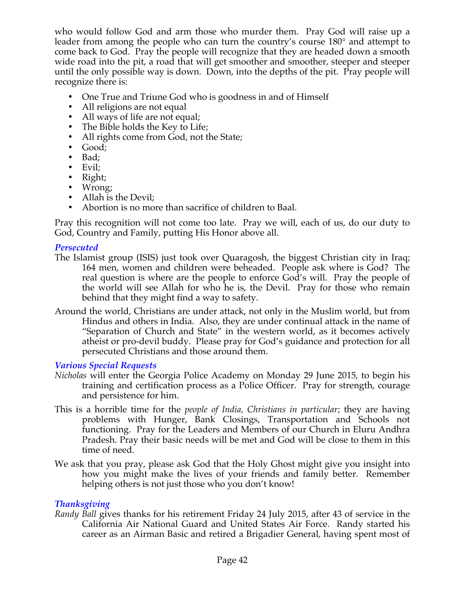who would follow God and arm those who murder them. Pray God will raise up a leader from among the people who can turn the country's course 180° and attempt to come back to God. Pray the people will recognize that they are headed down a smooth wide road into the pit, a road that will get smoother and smoother, steeper and steeper until the only possible way is down. Down, into the depths of the pit. Pray people will recognize there is:

- One True and Triune God who is goodness in and of Himself
- All religions are not equal
- All ways of life are not equal;
- The Bible holds the Key to Life;
- All rights come from God, not the State;
- Good;
- Bad;
- Evil;
- Right;
- Wrong;
- Allah is the Devil;
- Abortion is no more than sacrifice of children to Baal.

Pray this recognition will not come too late. Pray we will, each of us, do our duty to God, Country and Family, putting His Honor above all.

#### *Persecuted*

- The Islamist group (ISIS) just took over Quaragosh, the biggest Christian city in Iraq; 164 men, women and children were beheaded. People ask where is God? The real question is where are the people to enforce God's will. Pray the people of the world will see Allah for who he is, the Devil. Pray for those who remain behind that they might find a way to safety.
- Around the world, Christians are under attack, not only in the Muslim world, but from Hindus and others in India. Also, they are under continual attack in the name of "Separation of Church and State" in the western world, as it becomes actively atheist or pro-devil buddy. Please pray for God's guidance and protection for all persecuted Christians and those around them.

#### *Various Special Requests*

- *Nicholas* will enter the Georgia Police Academy on Monday 29 June 2015, to begin his training and certification process as a Police Officer. Pray for strength, courage and persistence for him.
- This is a horrible time for the *people of India, Christians in particular*; they are having problems with Hunger, Bank Closings, Transportation and Schools not functioning. Pray for the Leaders and Members of our Church in Eluru Andhra Pradesh. Pray their basic needs will be met and God will be close to them in this time of need.
- We ask that you pray, please ask God that the Holy Ghost might give you insight into how you might make the lives of your friends and family better. Remember helping others is not just those who you don't know!

#### *Thanksgiving*

*Randy Ball* gives thanks for his retirement Friday 24 July 2015, after 43 of service in the California Air National Guard and United States Air Force. Randy started his career as an Airman Basic and retired a Brigadier General, having spent most of